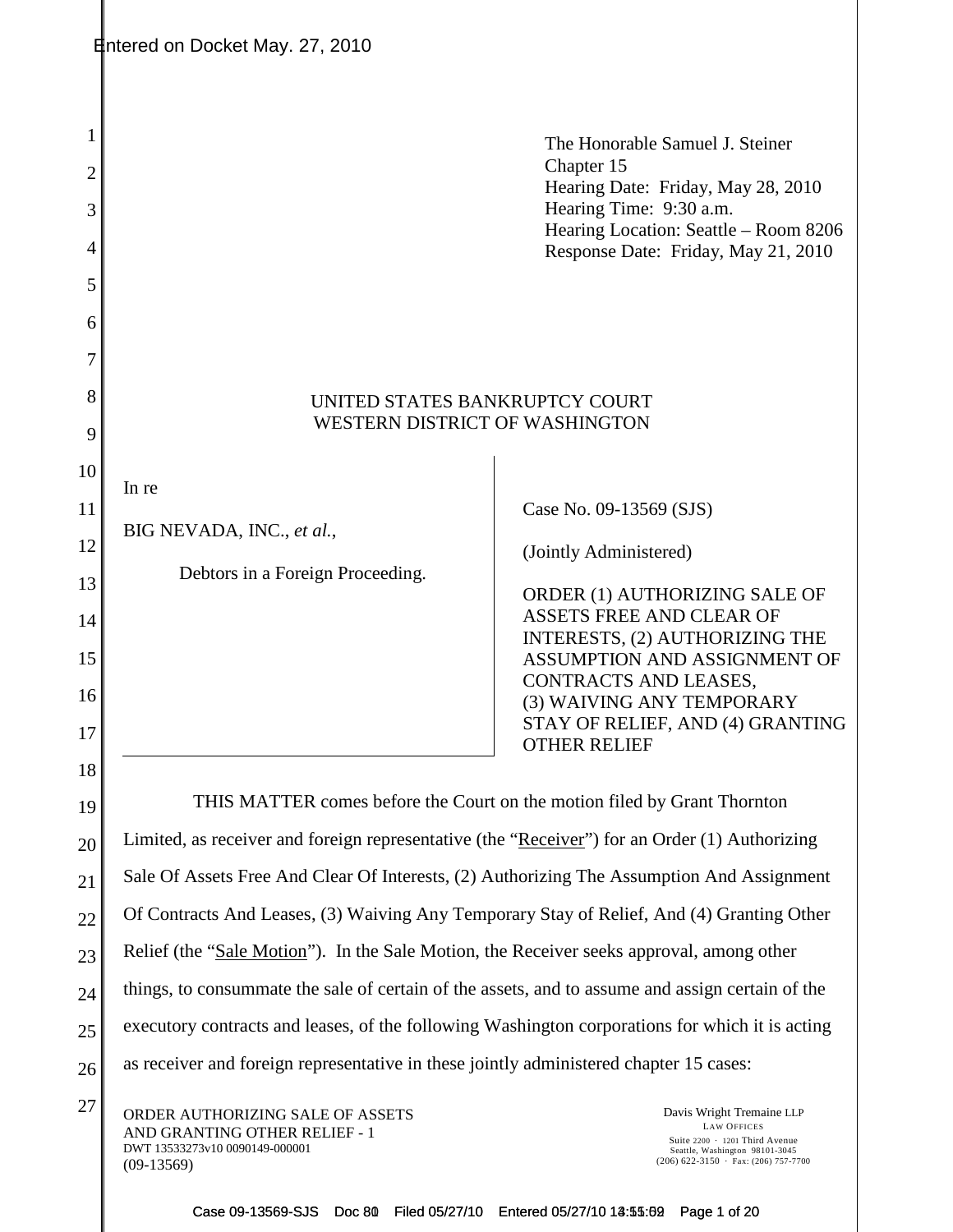|                                              | Entered on Docket May. 27, 2010                                                                                     |                                                                                                                                                                                                                                                                                                          |  |
|----------------------------------------------|---------------------------------------------------------------------------------------------------------------------|----------------------------------------------------------------------------------------------------------------------------------------------------------------------------------------------------------------------------------------------------------------------------------------------------------|--|
| 1<br>2<br>3<br>$\overline{4}$<br>5<br>6<br>7 |                                                                                                                     | The Honorable Samuel J. Steiner<br>Chapter 15<br>Hearing Date: Friday, May 28, 2010<br>Hearing Time: 9:30 a.m.<br>Hearing Location: Seattle – Room 8206<br>Response Date: Friday, May 21, 2010                                                                                                           |  |
| 8<br>9                                       | UNITED STATES BANKRUPTCY COURT<br>WESTERN DISTRICT OF WASHINGTON                                                    |                                                                                                                                                                                                                                                                                                          |  |
| 10<br>11<br>12<br>13<br>14<br>15<br>16<br>17 | In re<br>BIG NEVADA, INC., et al.,<br>Debtors in a Foreign Proceeding.                                              | Case No. 09-13569 (SJS)<br>(Jointly Administered)<br>ORDER (1) AUTHORIZING SALE OF<br><b>ASSETS FREE AND CLEAR OF</b><br>INTERESTS, (2) AUTHORIZING THE<br>ASSUMPTION AND ASSIGNMENT OF<br>CONTRACTS AND LEASES,<br>(3) WAIVING ANY TEMPORARY<br>STAY OF RELIEF, AND (4) GRANTING<br><b>OTHER RELIEF</b> |  |
| 18<br>19                                     |                                                                                                                     | THIS MATTER comes before the Court on the motion filed by Grant Thornton                                                                                                                                                                                                                                 |  |
| 20<br>21<br>22                               |                                                                                                                     | Limited, as receiver and foreign representative (the "Receiver") for an Order (1) Authorizing<br>Sale Of Assets Free And Clear Of Interests, (2) Authorizing The Assumption And Assignment<br>Of Contracts And Leases, (3) Waiving Any Temporary Stay of Relief, And (4) Granting Other                  |  |
| 23                                           | Relief (the "Sale Motion"). In the Sale Motion, the Receiver seeks approval, among other                            |                                                                                                                                                                                                                                                                                                          |  |
| 24                                           |                                                                                                                     | things, to consummate the sale of certain of the assets, and to assume and assign certain of the                                                                                                                                                                                                         |  |
| 25                                           | executory contracts and leases, of the following Washington corporations for which it is acting                     |                                                                                                                                                                                                                                                                                                          |  |
| 26                                           | as receiver and foreign representative in these jointly administered chapter 15 cases:                              |                                                                                                                                                                                                                                                                                                          |  |
| 27                                           | ORDER AUTHORIZING SALE OF ASSETS<br>AND GRANTING OTHER RELIEF - 1<br>DWT 13533273v10 0090149-000001<br>$(09-13569)$ | Davis Wright Tremaine LLP<br><b>LAW OFFICES</b><br>Suite 2200 · 1201 Third Avenue<br>Seattle, Washington 98101-3045<br>$(206)$ 622-3150 · Fax: (206) 757-7700                                                                                                                                            |  |

Case 09-13569-SJS Doc 80 Filed 05/27/10 Entered 05/27/10 13:55:69 Page 1 of 20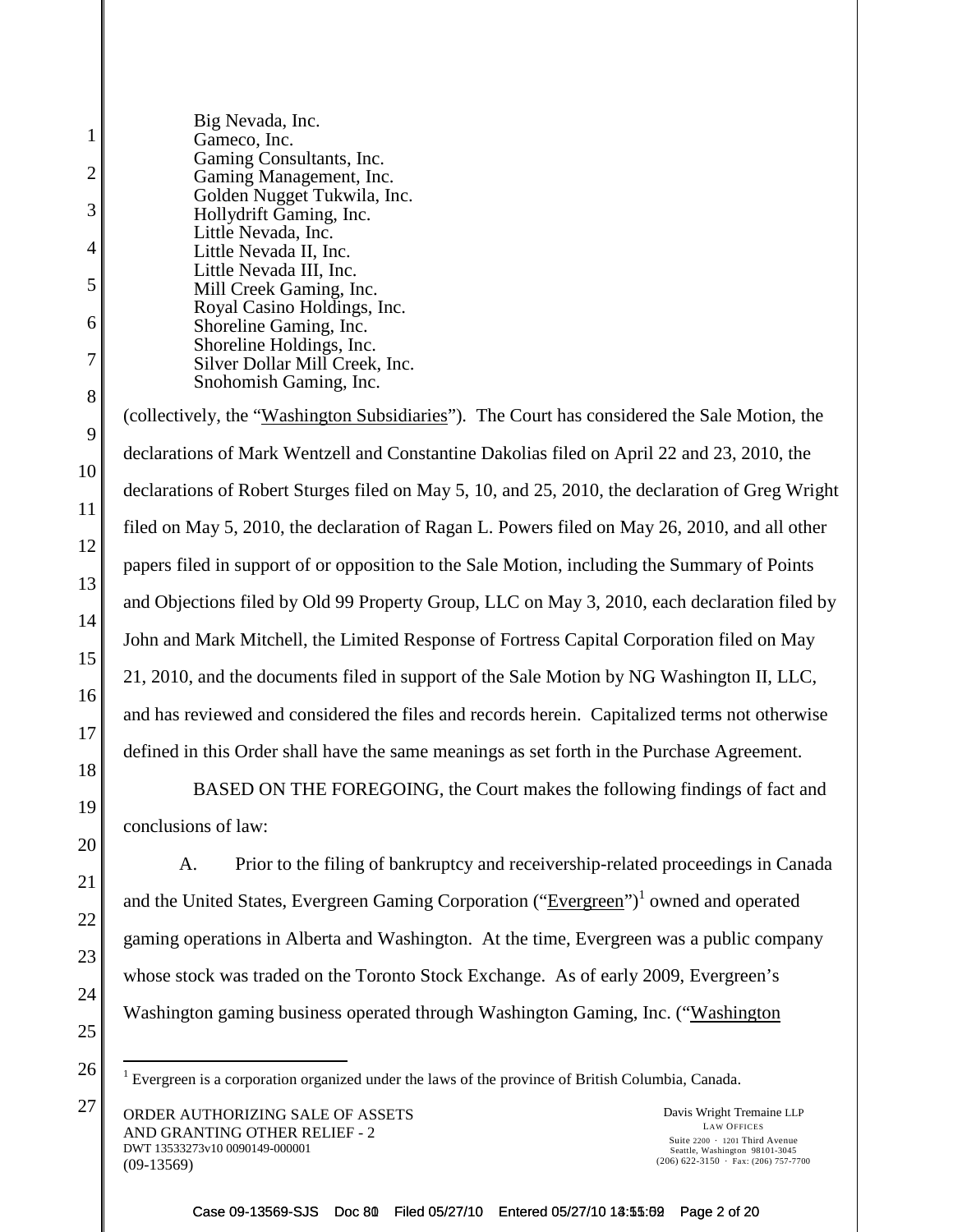Big Nevada, Inc. Gameco, Inc. Gaming Consultants, Inc. Gaming Management, Inc. Golden Nugget Tukwila, Inc. Hollydrift Gaming, Inc. Little Nevada, Inc. Little Nevada II, Inc. Little Nevada III, Inc. Mill Creek Gaming, Inc. Royal Casino Holdings, Inc. Shoreline Gaming, Inc. Shoreline Holdings, Inc. Silver Dollar Mill Creek, Inc. Snohomish Gaming, Inc. (collectively, the "Washington Subsidiaries"). The Court has considered the Sale Motion, the declarations of Mark Wentzell and Constantine Dakolias filed on April 22 and 23, 2010, the declarations of Robert Sturges filed on May 5, 10, and 25, 2010, the declaration of Greg Wright filed on May 5, 2010, the declaration of Ragan L. Powers filed on May 26, 2010, and all other papers filed in support of or opposition to the Sale Motion, including the Summary of Points and Objections filed by Old 99 Property Group, LLC on May 3, 2010, each declaration filed by John and Mark Mitchell, the Limited Response of Fortress Capital Corporation filed on May 21, 2010, and the documents filed in support of the Sale Motion by NG Washington II, LLC, and has reviewed and considered the files and records herein. Capitalized terms not otherwise defined in this Order shall have the same meanings as set forth in the Purchase Agreement. BASED ON THE FOREGOING, the Court makes the following findings of fact and conclusions of law: A. Prior to the filing of bankruptcy and receivership-related proceedings in Canada and the United States, Evergreen Gaming Corporation ("Evergreen")<sup>1</sup> owned and operated gaming operations in Alberta and Washington. At the time, Evergreen was a public company whose stock was traded on the Toronto Stock Exchange. As of early 2009, Evergreen's

Washington gaming business operated through Washington Gaming, Inc. ("Washington"

<sup>1</sup> Evergreen is a corporation organized under the laws of the province of British Columbia, Canada.

 $27$  ORDER AUTHORIZING SALE OF ASSETS Davis Wright Tremaine LLP AND GRANTING OTHER RELIEF - 2 DWT 13533273v10 0090149-000001 (09-13569)

1

2

3

4

5

6

7

8

9

10

11

12

13

14

15

16

17

18

19

20

21

22

23

24

25

26

LAW OFFICES Suite  $2200 \cdot 1201$  Third Avenue Seattle, Washington 98101-3045 (206) 622-3150 Fax: (206) 757-7700

Case 09-13569-SJS Doc 80 Filed 05/27/10 Entered 05/27/10 13:55:69 Page 2 of 20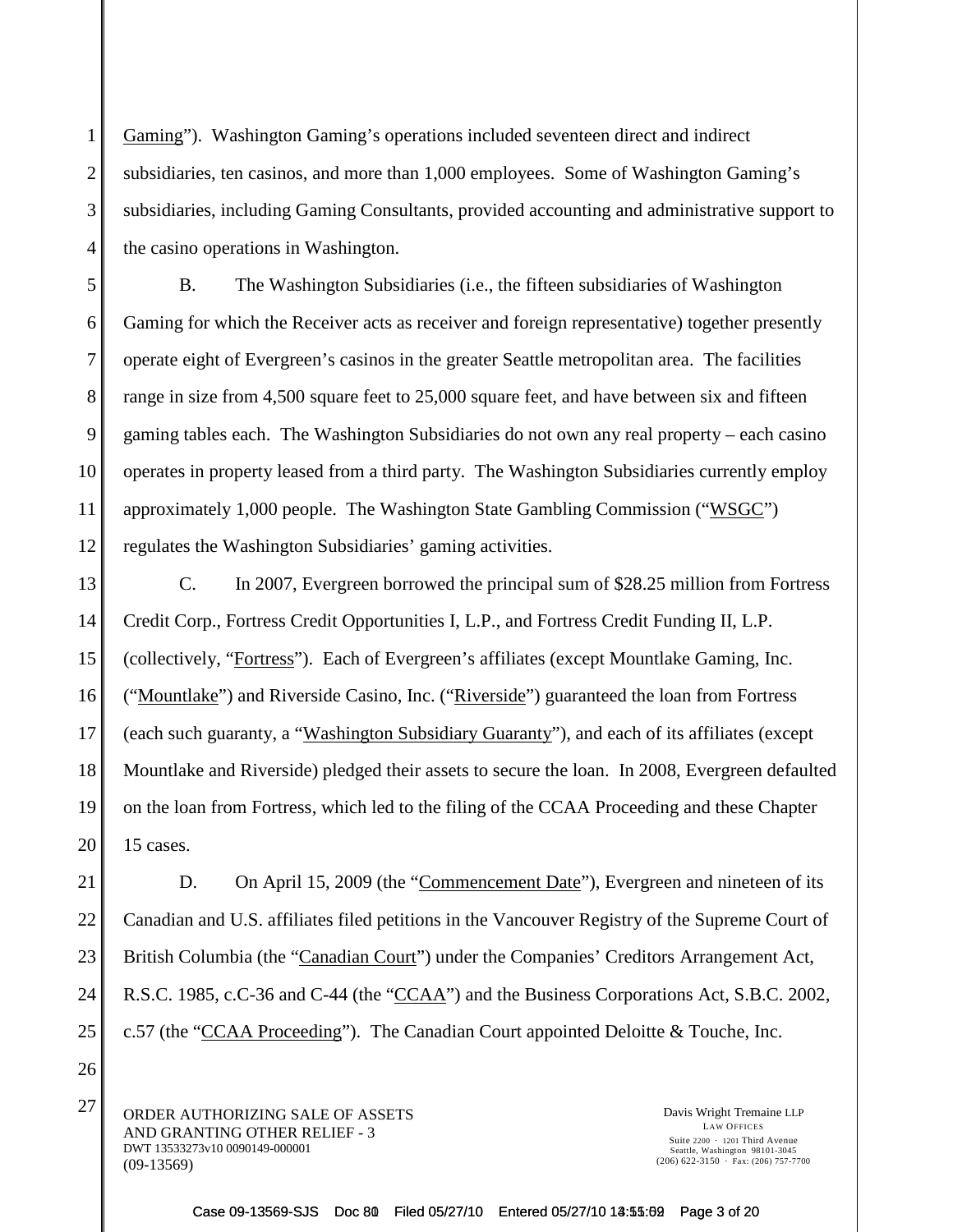Gaming"). Washington Gaming's operations included seventeen direct and indirect subsidiaries, ten casinos, and more than 1,000 employees. Some of Washington Gaming's subsidiaries, including Gaming Consultants, provided accounting and administrative support to the casino operations in Washington.

B. The Washington Subsidiaries (i.e., the fifteen subsidiaries of Washington Gaming for which the Receiver acts as receiver and foreign representative) together presently operate eight of Evergreen's casinos in the greater Seattle metropolitan area. The facilities range in size from 4,500 square feet to 25,000 square feet, and have between six and fifteen gaming tables each. The Washington Subsidiaries do not own any real property – each casino operates in property leased from a third party. The Washington Subsidiaries currently employ approximately 1,000 people. The Washington State Gambling Commission ("WSGC") regulates the Washington Subsidiaries' gaming activities.

13 14 15 16 17 18 19 20 C. In 2007, Evergreen borrowed the principal sum of \$28.25 million from Fortress Credit Corp., Fortress Credit Opportunities I, L.P., and Fortress Credit Funding II, L.P. (collectively, "Fortress"). Each of Evergreen's affiliates (except Mountlake Gaming, Inc. ("Mountlake") and Riverside Casino, Inc. ("Riverside") guaranteed the loan from Fortress (each such guaranty, a "Washington Subsidiary Guaranty"), and each of its affiliates (except Mountlake and Riverside) pledged their assets to secure the loan. In 2008, Evergreen defaulted on the loan from Fortress, which led to the filing of the CCAA Proceeding and these Chapter 15 cases.

21 22 23 24 25 D. On April 15, 2009 (the "Commencement Date"), Evergreen and nineteen of its Canadian and U.S. affiliates filed petitions in the Vancouver Registry of the Supreme Court of British Columbia (the "Canadian Court") under the Companies' Creditors Arrangement Act, R.S.C. 1985, c.C-36 and C-44 (the "CCAA") and the Business Corporations Act, S.B.C. 2002, c.57 (the "CCAA Proceeding"). The Canadian Court appointed Deloitte & Touche, Inc.

 $27$  ORDER AUTHORIZING SALE OF ASSETS Davis Wright Tremaine LLP AND GRANTING OTHER RELIEF - 3 DWT 13533273v10 0090149-000001 (09-13569)

1

2

3

4

5

6

7

8

9

10

11

12

26

LAW OFFICES Suite  $2200 \cdot 1201$  Third Avenue Seattle, Washington 98101-3045  $(206)$  622-3150  $\cdot$  Fax: (206) 757-7700

Case 09-13569-SJS Doc 80 Filed 05/27/10 Entered 05/27/10 13:55:02 Page 3 of 20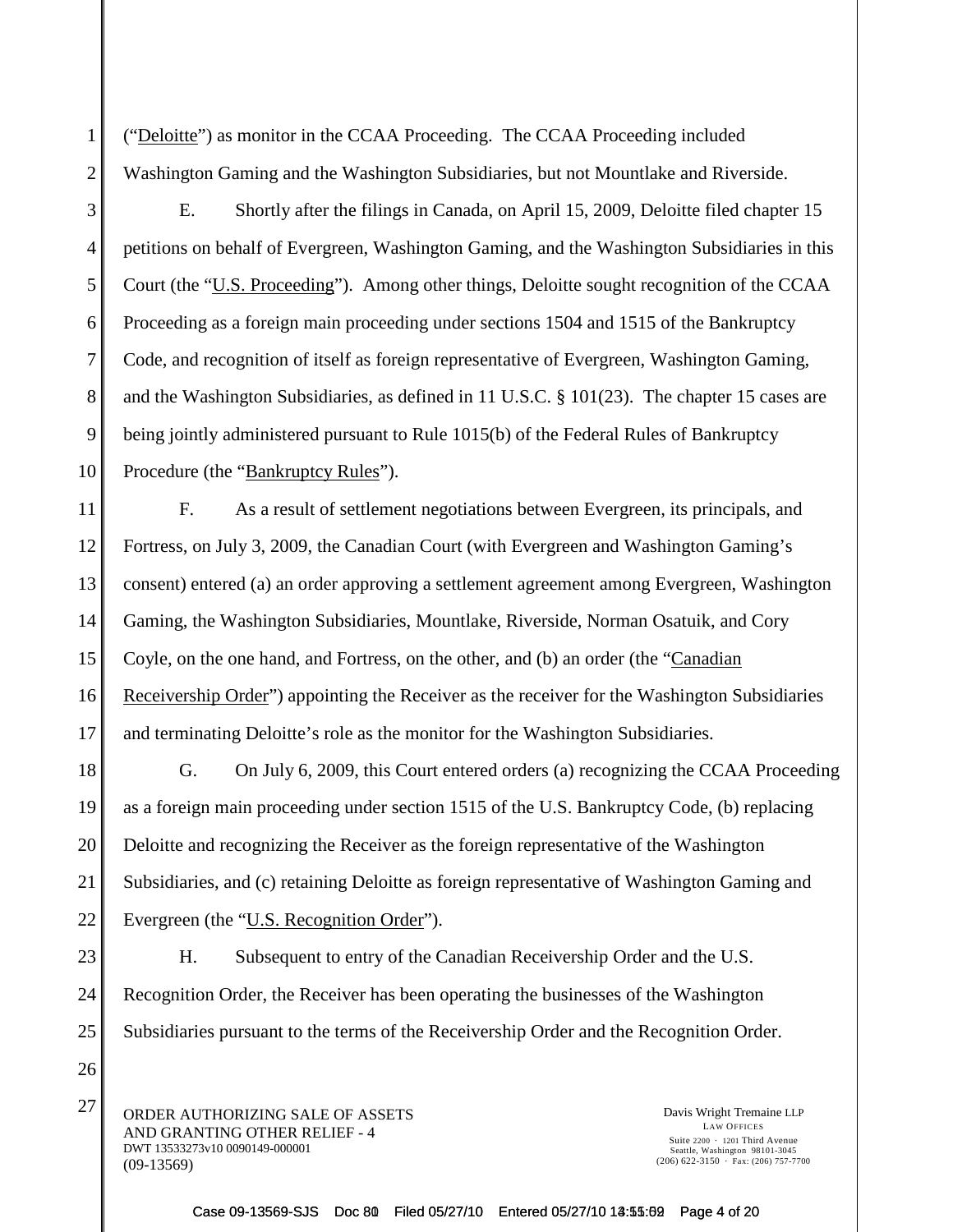("Deloitte") as monitor in the CCAA Proceeding. The CCAA Proceeding included Washington Gaming and the Washington Subsidiaries, but not Mountlake and Riverside.

1

2

3

4

5

6

7

8

9

10

26

E. Shortly after the filings in Canada, on April 15, 2009, Deloitte filed chapter 15 petitions on behalf of Evergreen, Washington Gaming, and the Washington Subsidiaries in this Court (the "U.S. Proceeding"). Among other things, Deloitte sought recognition of the CCAA Proceeding as a foreign main proceeding under sections 1504 and 1515 of the Bankruptcy Code, and recognition of itself as foreign representative of Evergreen, Washington Gaming, and the Washington Subsidiaries, as defined in 11 U.S.C. § 101(23). The chapter 15 cases are being jointly administered pursuant to Rule 1015(b) of the Federal Rules of Bankruptcy Procedure (the "Bankruptcy Rules").

11 12 13 14 15 16 17 F. As a result of settlement negotiations between Evergreen, its principals, and Fortress, on July 3, 2009, the Canadian Court (with Evergreen and Washington Gaming's consent) entered (a) an order approving a settlement agreement among Evergreen, Washington Gaming, the Washington Subsidiaries, Mountlake, Riverside, Norman Osatuik, and Cory Coyle, on the one hand, and Fortress, on the other, and (b) an order (the "Canadian Receivership Order") appointing the Receiver as the receiver for the Washington Subsidiaries and terminating Deloitte's role as the monitor for the Washington Subsidiaries.

18 19 20 21 22 G. On July 6, 2009, this Court entered orders (a) recognizing the CCAA Proceeding as a foreign main proceeding under section 1515 of the U.S. Bankruptcy Code, (b) replacing Deloitte and recognizing the Receiver as the foreign representative of the Washington Subsidiaries, and (c) retaining Deloitte as foreign representative of Washington Gaming and Evergreen (the "<u>U.S. Recognition Order</u>").

23 24 25 H. Subsequent to entry of the Canadian Receivership Order and the U.S. Recognition Order, the Receiver has been operating the businesses of the Washington Subsidiaries pursuant to the terms of the Receivership Order and the Recognition Order.

 $27$  ORDER AUTHORIZING SALE OF ASSETS Davis Wright Tremaine LLP AND GRANTING OTHER RELIEF - 4 DWT 13533273v10 0090149-000001 (09-13569)

LAW OFFICES Suite  $2200 \cdot 1201$  Third Avenue Seattle, Washington 98101-3045  $(206)$  622-3150  $\cdot$  Fax: (206) 757-7700

Case 09-13569-SJS Doc 80 Filed 05/27/10 Entered 05/27/10 13:55:09 Page 4 of 20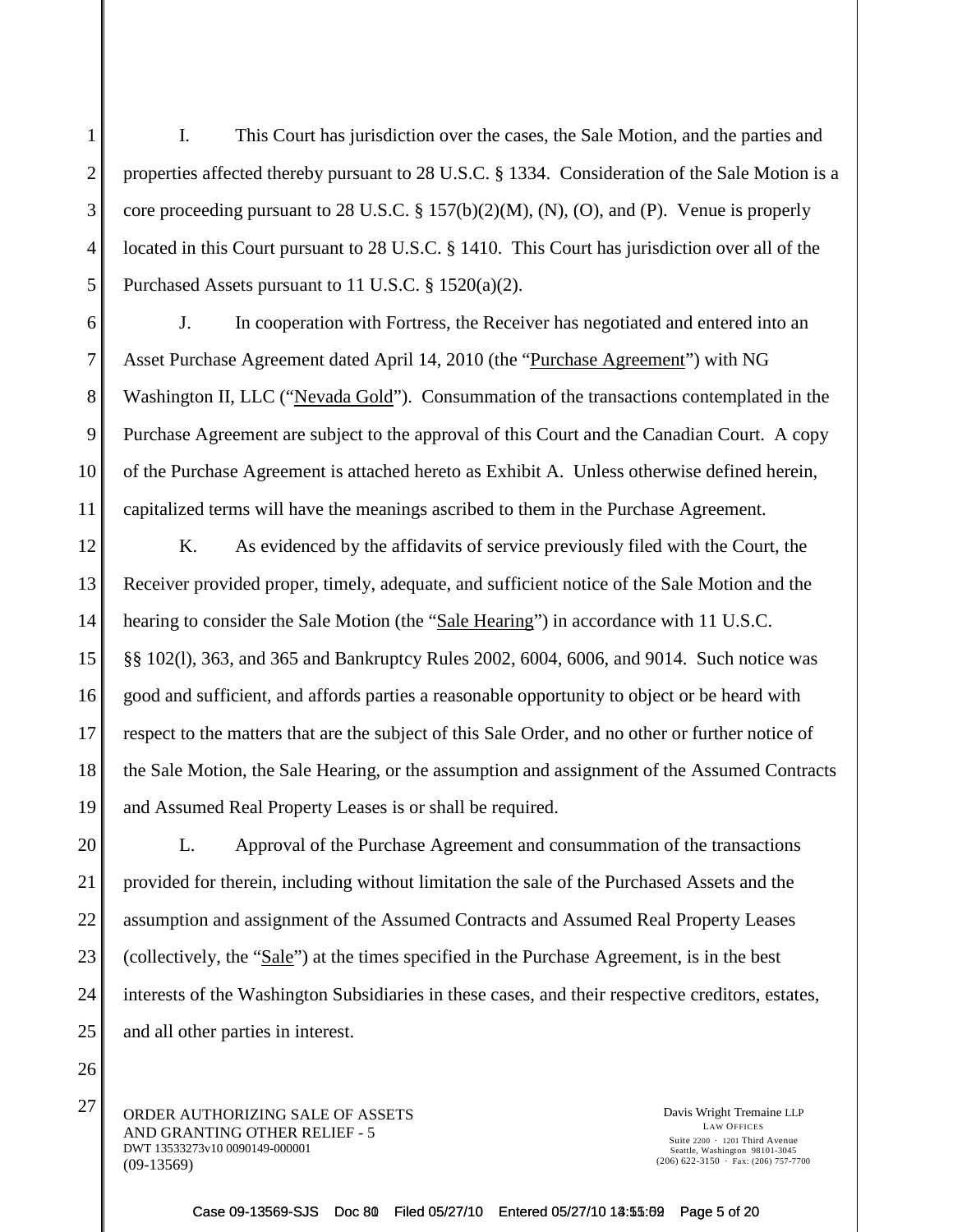I. This Court has jurisdiction over the cases, the Sale Motion, and the parties and properties affected thereby pursuant to 28 U.S.C. § 1334. Consideration of the Sale Motion is a core proceeding pursuant to 28 U.S.C. § 157(b)(2)(M), (N), (O), and (P). Venue is properly located in this Court pursuant to 28 U.S.C. § 1410. This Court has jurisdiction over all of the Purchased Assets pursuant to 11 U.S.C. § 1520(a)(2).

J. In cooperation with Fortress, the Receiver has negotiated and entered into an Asset Purchase Agreement dated April 14, 2010 (the "Purchase Agreement") with NG Washington II, LLC ("Nevada Gold"). Consummation of the transactions contemplated in the Purchase Agreement are subject to the approval of this Court and the Canadian Court. A copy of the Purchase Agreement is attached hereto as Exhibit A. Unless otherwise defined herein, capitalized terms will have the meanings ascribed to them in the Purchase Agreement.

12 13 14 15 16 17 18 19 K. As evidenced by the affidavits of service previously filed with the Court, the Receiver provided proper, timely, adequate, and sufficient notice of the Sale Motion and the hearing to consider the Sale Motion (the "Sale Hearing") in accordance with 11 U.S.C. §§ 102(l), 363, and 365 and Bankruptcy Rules 2002, 6004, 6006, and 9014. Such notice was good and sufficient, and affords parties a reasonable opportunity to object or be heard with respect to the matters that are the subject of this Sale Order, and no other or further notice of the Sale Motion, the Sale Hearing, or the assumption and assignment of the Assumed Contracts and Assumed Real Property Leases is or shall be required.

20 21 22 23 24 25 L. Approval of the Purchase Agreement and consummation of the transactions provided for therein, including without limitation the sale of the Purchased Assets and the assumption and assignment of the Assumed Contracts and Assumed Real Property Leases (collectively, the "Sale") at the times specified in the Purchase Agreement, is in the best interests of the Washington Subsidiaries in these cases, and their respective creditors, estates, and all other parties in interest.

 $27$  ORDER AUTHORIZING SALE OF ASSETS Davis Wright Tremaine LLP AND GRANTING OTHER RELIEF - 5 DWT 13533273v10 0090149-000001 (09-13569)

1

2

3

4

5

6

7

8

9

10

11

26

LAW OFFICES Suite  $2200 \cdot 1201$  Third Avenue Seattle, Washington 98101-3045  $(206)$  622-3150  $\cdot$  Fax: (206) 757-7700

Case 09-13569-SJS Doc 80 Filed 05/27/10 Entered 05/27/10 13:55:02 Page 5 of 20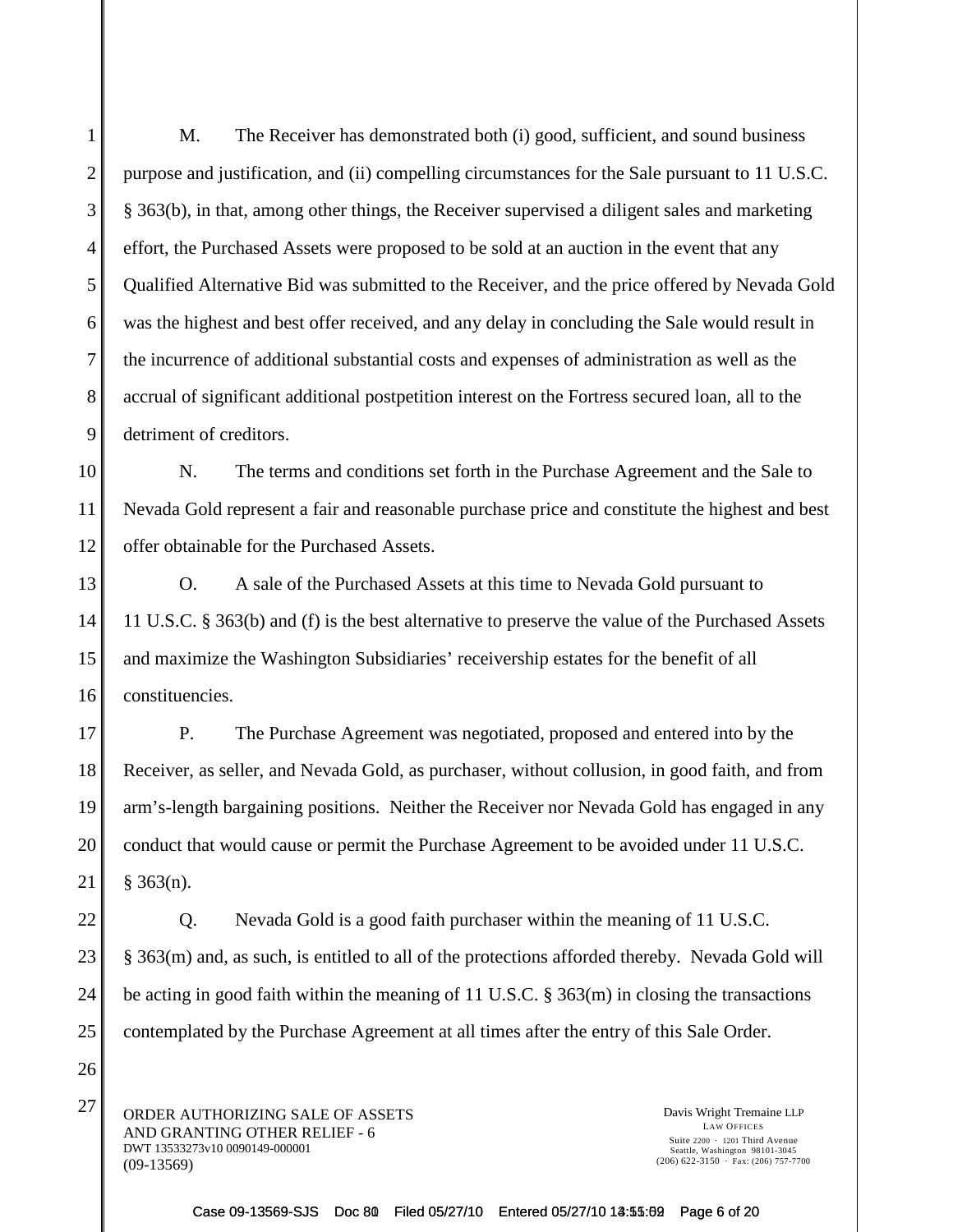M. The Receiver has demonstrated both (i) good, sufficient, and sound business purpose and justification, and (ii) compelling circumstances for the Sale pursuant to 11 U.S.C. § 363(b), in that, among other things, the Receiver supervised a diligent sales and marketing effort, the Purchased Assets were proposed to be sold at an auction in the event that any Qualified Alternative Bid was submitted to the Receiver, and the price offered by Nevada Gold was the highest and best offer received, and any delay in concluding the Sale would result in the incurrence of additional substantial costs and expenses of administration as well as the accrual of significant additional postpetition interest on the Fortress secured loan, all to the detriment of creditors.

N. The terms and conditions set forth in the Purchase Agreement and the Sale to Nevada Gold represent a fair and reasonable purchase price and constitute the highest and best offer obtainable for the Purchased Assets.

O. A sale of the Purchased Assets at this time to Nevada Gold pursuant to 11 U.S.C. § 363(b) and (f) is the best alternative to preserve the value of the Purchased Assets and maximize the Washington Subsidiaries' receivership estates for the benefit of all constituencies.

P. The Purchase Agreement was negotiated, proposed and entered into by the Receiver, as seller, and Nevada Gold, as purchaser, without collusion, in good faith, and from arm's-length bargaining positions. Neither the Receiver nor Nevada Gold has engaged in any conduct that would cause or permit the Purchase Agreement to be avoided under 11 U.S.C.  $§$  363(n).

Q. Nevada Gold is a good faith purchaser within the meaning of 11 U.S.C. § 363(m) and, as such, is entitled to all of the protections afforded thereby. Nevada Gold will be acting in good faith within the meaning of 11 U.S.C. § 363(m) in closing the transactions contemplated by the Purchase Agreement at all times after the entry of this Sale Order.

 $27$  ORDER AUTHORIZING SALE OF ASSETS Davis Wright Tremaine LLP AND GRANTING OTHER RELIEF - 6 DWT 13533273v10 0090149-000001 (09-13569)

LAW OFFICES Suite  $2200 \cdot 1201$  Third Avenue Seattle, Washington 98101-3045  $(206)$  622-3150  $\cdot$  Fax: (206) 757-7700

Case 09-13569-SJS Doc 80 Filed 05/27/10 Entered 05/27/10 13:55:69 Page 6 of 20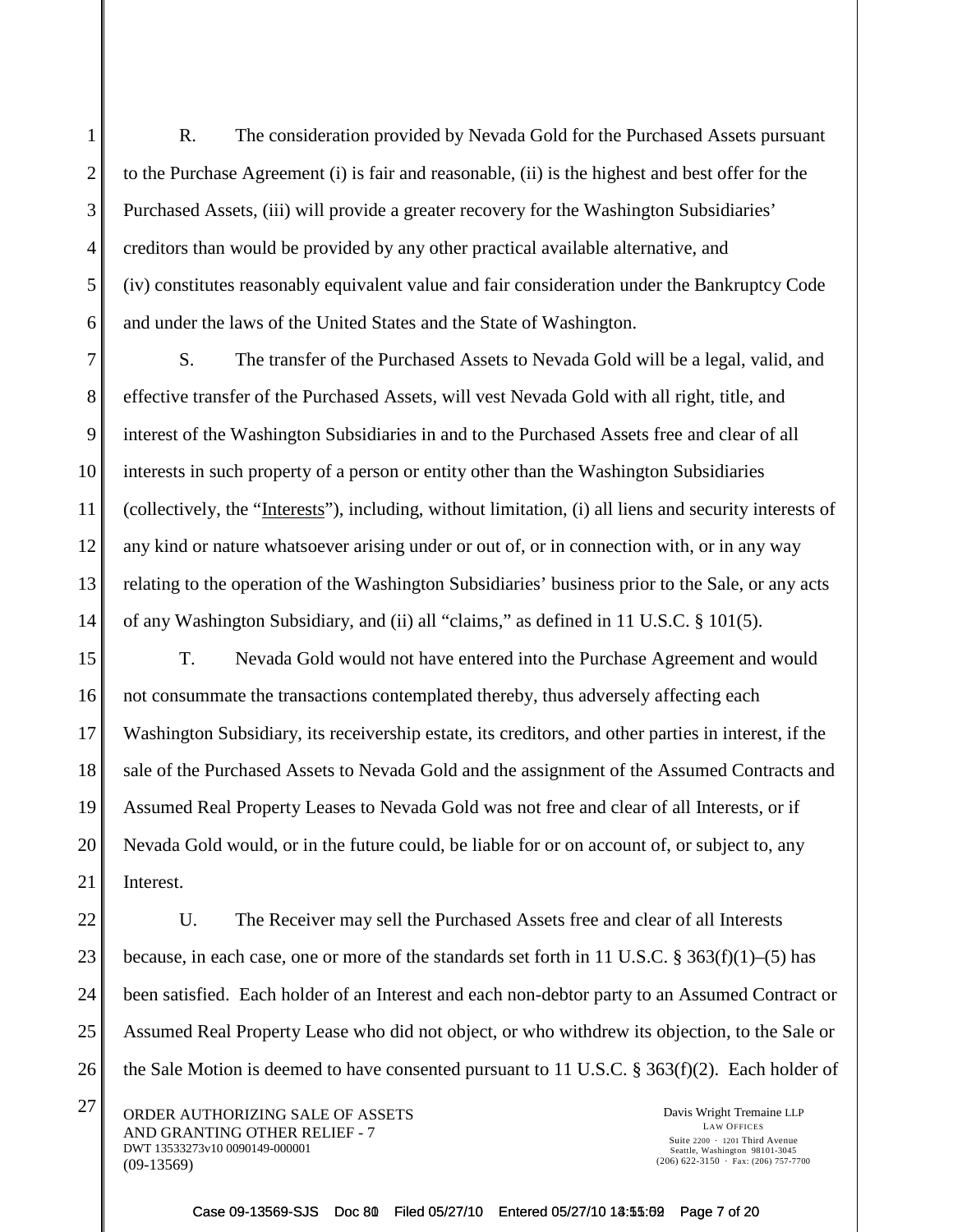R. The consideration provided by Nevada Gold for the Purchased Assets pursuant to the Purchase Agreement (i) is fair and reasonable, (ii) is the highest and best offer for the Purchased Assets, (iii) will provide a greater recovery for the Washington Subsidiaries' creditors than would be provided by any other practical available alternative, and (iv) constitutes reasonably equivalent value and fair consideration under the Bankruptcy Code and under the laws of the United States and the State of Washington.

7 8 9 10 11 12 13 14 S. The transfer of the Purchased Assets to Nevada Gold will be a legal, valid, and effective transfer of the Purchased Assets, will vest Nevada Gold with all right, title, and interest of the Washington Subsidiaries in and to the Purchased Assets free and clear of all interests in such property of a person or entity other than the Washington Subsidiaries (collectively, the "Interests"), including, without limitation, (i) all liens and security interests of any kind or nature whatsoever arising under or out of, or in connection with, or in any way relating to the operation of the Washington Subsidiaries' business prior to the Sale, or any acts of any Washington Subsidiary, and (ii) all "claims," as defined in 11 U.S.C. § 101(5).

15 16 17 18 19 20 21 T. Nevada Gold would not have entered into the Purchase Agreement and would not consummate the transactions contemplated thereby, thus adversely affecting each Washington Subsidiary, its receivership estate, its creditors, and other parties in interest, if the sale of the Purchased Assets to Nevada Gold and the assignment of the Assumed Contracts and Assumed Real Property Leases to Nevada Gold was not free and clear of all Interests, or if Nevada Gold would, or in the future could, be liable for or on account of, or subject to, any Interest.

22 23 24 25 26 U. The Receiver may sell the Purchased Assets free and clear of all Interests because, in each case, one or more of the standards set forth in 11 U.S.C. § 363(f)(1)–(5) has been satisfied. Each holder of an Interest and each non-debtor party to an Assumed Contract or Assumed Real Property Lease who did not object, or who withdrew its objection, to the Sale or the Sale Motion is deemed to have consented pursuant to 11 U.S.C. § 363(f)(2). Each holder of

 $27$  ORDER AUTHORIZING SALE OF ASSETS Davis Wright Tremaine LLP AND GRANTING OTHER RELIEF - 7 DWT 13533273v10 0090149-000001 (09-13569)

1

2

3

4

5

6

LAW OFFICES Suite  $2200 \cdot 1201$  Third Avenue Seattle, Washington 98101-3045  $(206)$  622-3150  $\cdot$  Fax: (206) 757-7700

Case 09-13569-SJS Doc 80 Filed 05/27/10 Entered 05/27/10 13:55:02 Page 7 of 20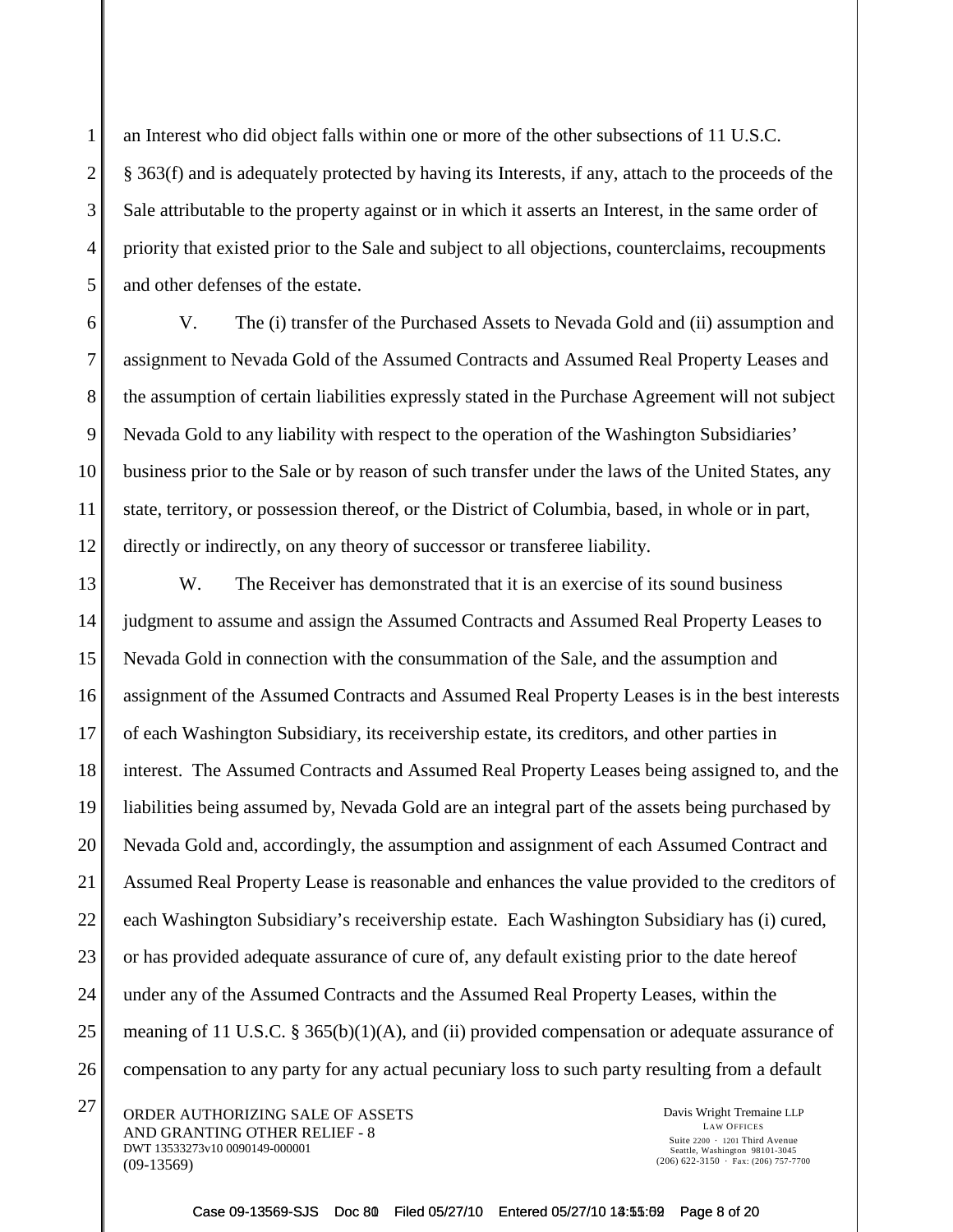2

3

4

an Interest who did object falls within one or more of the other subsections of 11 U.S.C. § 363(f) and is adequately protected by having its Interests, if any, attach to the proceeds of the Sale attributable to the property against or in which it asserts an Interest, in the same order of priority that existed prior to the Sale and subject to all objections, counterclaims, recoupments and other defenses of the estate.

V. The (i) transfer of the Purchased Assets to Nevada Gold and (ii) assumption and assignment to Nevada Gold of the Assumed Contracts and Assumed Real Property Leases and the assumption of certain liabilities expressly stated in the Purchase Agreement will not subject Nevada Gold to any liability with respect to the operation of the Washington Subsidiaries' business prior to the Sale or by reason of such transfer under the laws of the United States, any state, territory, or possession thereof, or the District of Columbia, based, in whole or in part, directly or indirectly, on any theory of successor or transferee liability.

W. The Receiver has demonstrated that it is an exercise of its sound business judgment to assume and assign the Assumed Contracts and Assumed Real Property Leases to Nevada Gold in connection with the consummation of the Sale, and the assumption and assignment of the Assumed Contracts and Assumed Real Property Leases is in the best interests of each Washington Subsidiary, its receivership estate, its creditors, and other parties in interest. The Assumed Contracts and Assumed Real Property Leases being assigned to, and the liabilities being assumed by, Nevada Gold are an integral part of the assets being purchased by Nevada Gold and, accordingly, the assumption and assignment of each Assumed Contract and Assumed Real Property Lease is reasonable and enhances the value provided to the creditors of each Washington Subsidiary's receivership estate. Each Washington Subsidiary has (i) cured, or has provided adequate assurance of cure of, any default existing prior to the date hereof under any of the Assumed Contracts and the Assumed Real Property Leases, within the meaning of 11 U.S.C. § 365(b)(1)(A), and (ii) provided compensation or adequate assurance of compensation to any party for any actual pecuniary loss to such party resulting from a default

 $27$  ORDER AUTHORIZING SALE OF ASSETS Davis Wright Tremaine LLP AND GRANTING OTHER RELIEF - 8 DWT 13533273v10 0090149-000001 (09-13569)

LAW OFFICES Suite  $2200 \cdot 1201$  Third Avenue Seattle, Washington 98101-3045  $(206)$  622-3150  $\cdot$  Fax: (206) 757-7700

Case 09-13569-SJS Doc 80 Filed 05/27/10 Entered 05/27/10 13:55:02 Page 8 of 20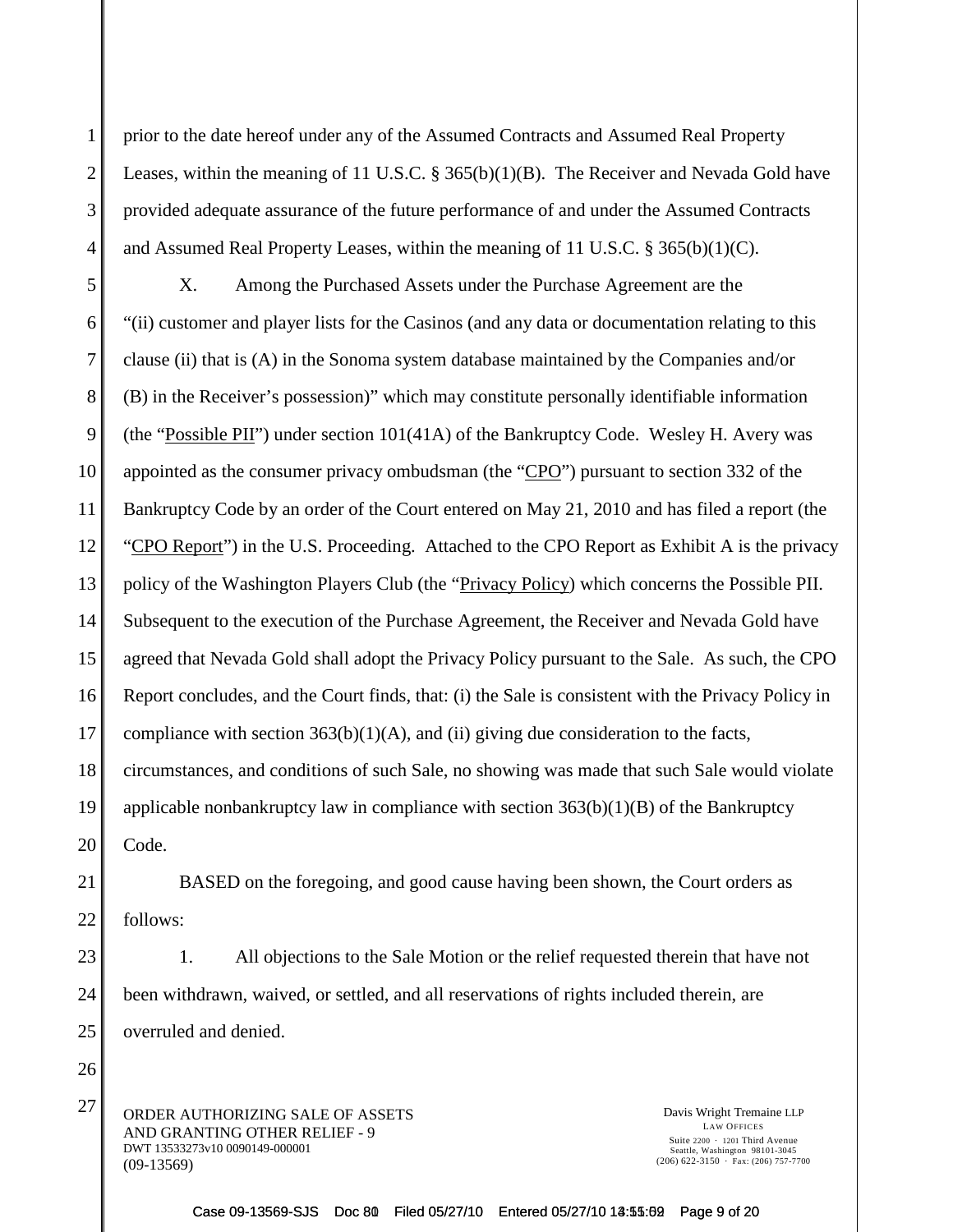prior to the date hereof under any of the Assumed Contracts and Assumed Real Property Leases, within the meaning of 11 U.S.C. § 365(b)(1)(B). The Receiver and Nevada Gold have provided adequate assurance of the future performance of and under the Assumed Contracts and Assumed Real Property Leases, within the meaning of 11 U.S.C. § 365(b)(1)(C).

X. Among the Purchased Assets under the Purchase Agreement are the "(ii) customer and player lists for the Casinos (and any data or documentation relating to this clause (ii) that is (A) in the Sonoma system database maintained by the Companies and/or (B) in the Receiver's possession)" which may constitute personally identifiable information (the "Possible PII") under section 101(41A) of the Bankruptcy Code. Wesley H. Avery was appointed as the consumer privacy ombudsman (the "CPO") pursuant to section 332 of the Bankruptcy Code by an order of the Court entered on May 21, 2010 and has filed a report (the "CPO Report") in the U.S. Proceeding. Attached to the CPO Report as Exhibit A is the privacy policy of the Washington Players Club (the "Privacy Policy) which concerns the Possible PII. Subsequent to the execution of the Purchase Agreement, the Receiver and Nevada Gold have agreed that Nevada Gold shall adopt the Privacy Policy pursuant to the Sale. As such, the CPO Report concludes, and the Court finds, that: (i) the Sale is consistent with the Privacy Policy in compliance with section  $363(b)(1)(A)$ , and (ii) giving due consideration to the facts, circumstances, and conditions of such Sale, no showing was made that such Sale would violate applicable nonbankruptcy law in compliance with section  $363(b)(1)(B)$  of the Bankruptcy Code.

BASED on the foregoing, and good cause having been shown, the Court orders as follows:

1. All objections to the Sale Motion or the relief requested therein that have not been withdrawn, waived, or settled, and all reservations of rights included therein, are overruled and denied.

 $27$  ORDER AUTHORIZING SALE OF ASSETS Davis Wright Tremaine LLP AND GRANTING OTHER RELIEF - 9 DWT 13533273v10 0090149-000001 (09-13569)

LAW OFFICES Suite  $2200 \cdot 1201$  Third Avenue Seattle, Washington 98101-3045  $(206)$  622-3150  $\cdot$  Fax: (206) 757-7700

Case 09-13569-SJS Doc 80 Filed 05/27/10 Entered 05/27/10 13:55:02 Page 9 of 20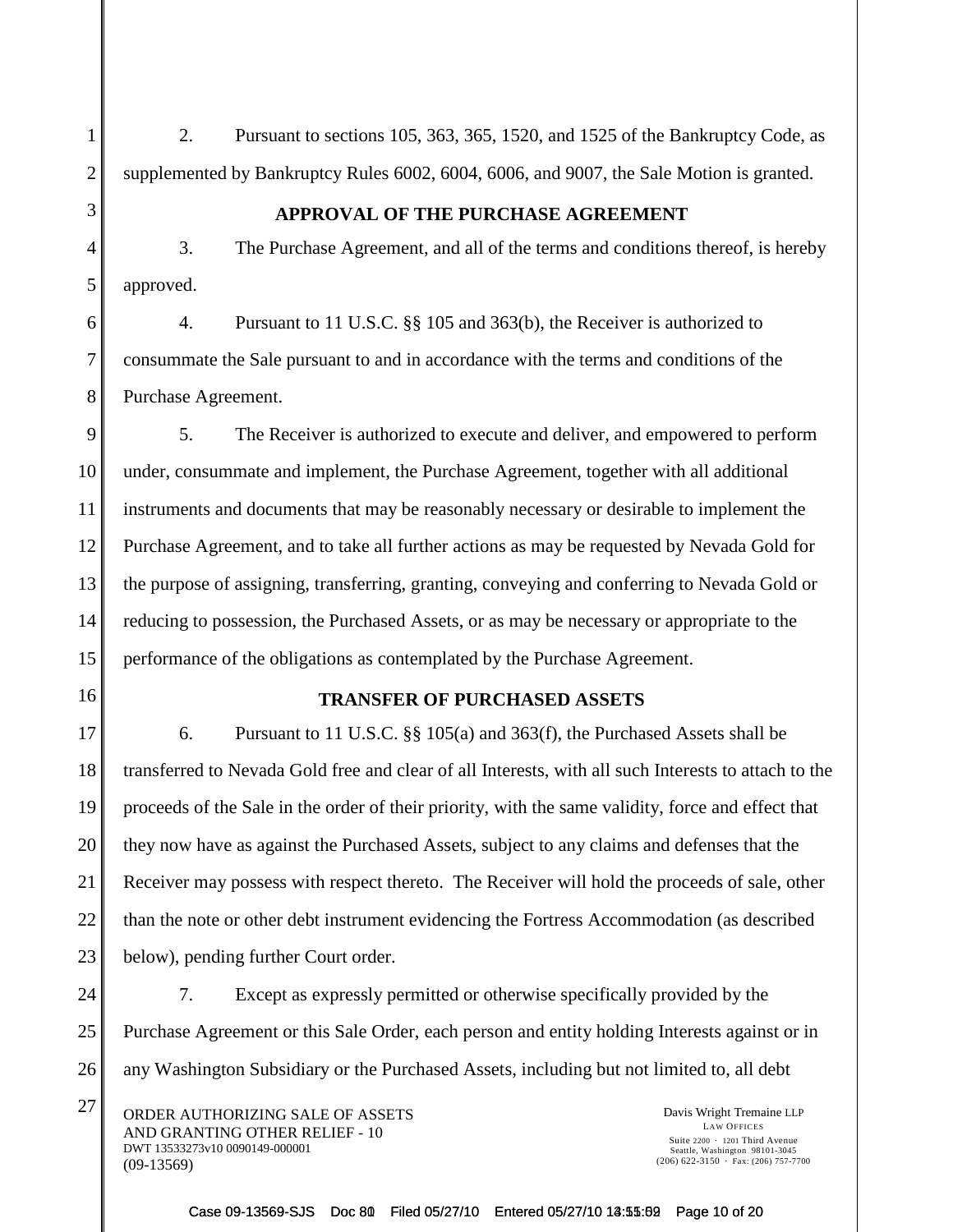2. Pursuant to sections 105, 363, 365, 1520, and 1525 of the Bankruptcy Code, as supplemented by Bankruptcy Rules 6002, 6004, 6006, and 9007, the Sale Motion is granted.

## **APPROVAL OF THE PURCHASE AGREEMENT**

3. The Purchase Agreement, and all of the terms and conditions thereof, is hereby approved.

4. Pursuant to 11 U.S.C. §§ 105 and 363(b), the Receiver is authorized to consummate the Sale pursuant to and in accordance with the terms and conditions of the Purchase Agreement.

5. The Receiver is authorized to execute and deliver, and empowered to perform under, consummate and implement, the Purchase Agreement, together with all additional instruments and documents that may be reasonably necessary or desirable to implement the Purchase Agreement, and to take all further actions as may be requested by Nevada Gold for the purpose of assigning, transferring, granting, conveying and conferring to Nevada Gold or reducing to possession, the Purchased Assets, or as may be necessary or appropriate to the performance of the obligations as contemplated by the Purchase Agreement.

## **TRANSFER OF PURCHASED ASSETS**

6. Pursuant to 11 U.S.C. §§ 105(a) and 363(f), the Purchased Assets shall be transferred to Nevada Gold free and clear of all Interests, with all such Interests to attach to the proceeds of the Sale in the order of their priority, with the same validity, force and effect that they now have as against the Purchased Assets, subject to any claims and defenses that the Receiver may possess with respect thereto. The Receiver will hold the proceeds of sale, other than the note or other debt instrument evidencing the Fortress Accommodation (as described below), pending further Court order.

7. Except as expressly permitted or otherwise specifically provided by the Purchase Agreement or this Sale Order, each person and entity holding Interests against or in any Washington Subsidiary or the Purchased Assets, including but not limited to, all debt

 $27$  ORDER AUTHORIZING SALE OF ASSETS Davis Wright Tremaine LLP AND GRANTING OTHER RELIEF - 10 DWT 13533273v10 0090149-000001 (09-13569)

LAW OFFICES Suite  $2200 \cdot 1201$  Third Avenue Seattle, Washington 98101-3045  $(206)$  622-3150  $\cdot$  Fax: (206) 757-7700

Case 09-13569-SJS Doc 80 Filed 05/27/10 Entered 05/27/10 13:55:62 Page 10 of 20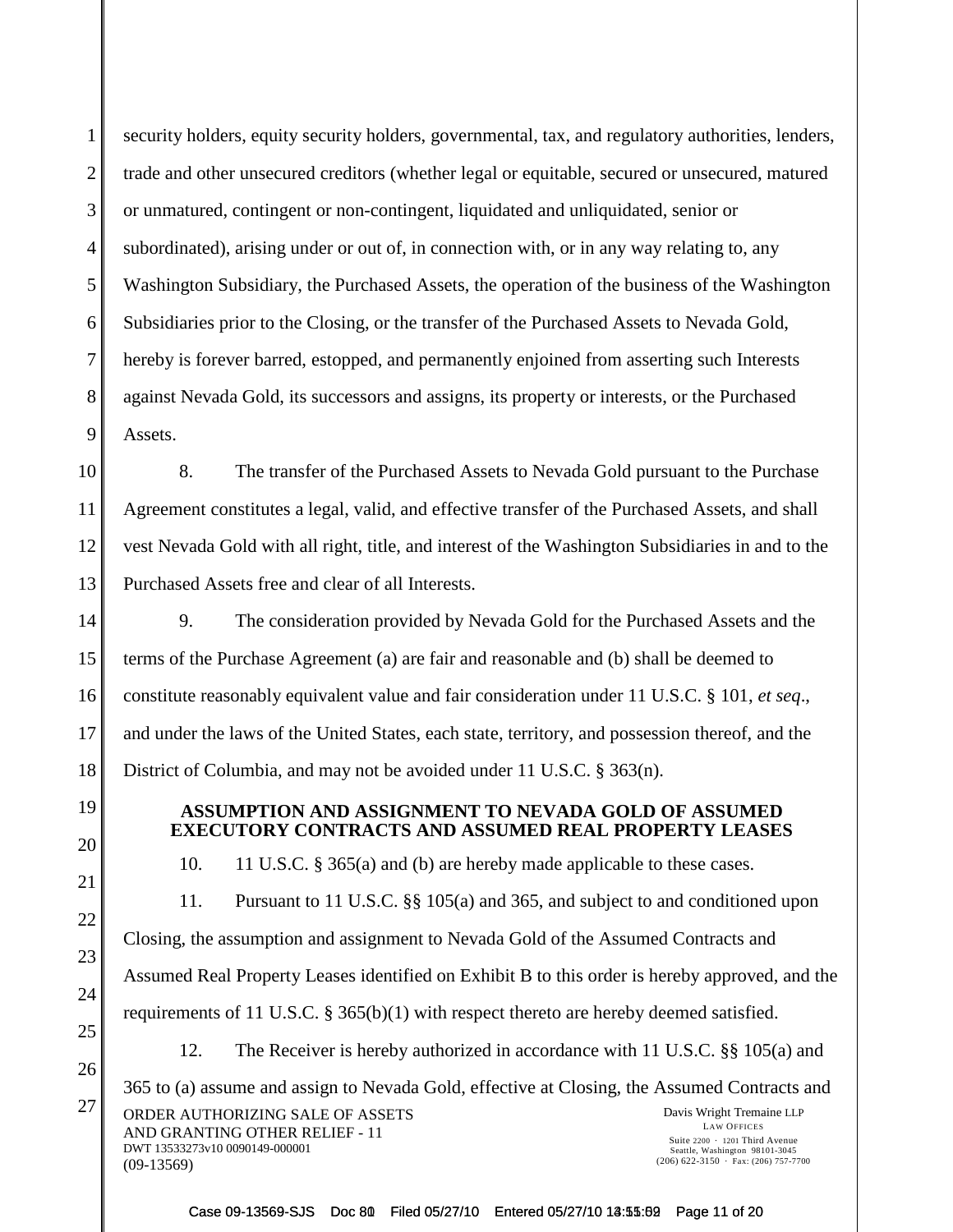1

2

3

4

security holders, equity security holders, governmental, tax, and regulatory authorities, lenders, trade and other unsecured creditors (whether legal or equitable, secured or unsecured, matured or unmatured, contingent or non-contingent, liquidated and unliquidated, senior or subordinated), arising under or out of, in connection with, or in any way relating to, any Washington Subsidiary, the Purchased Assets, the operation of the business of the Washington Subsidiaries prior to the Closing, or the transfer of the Purchased Assets to Nevada Gold, hereby is forever barred, estopped, and permanently enjoined from asserting such Interests against Nevada Gold, its successors and assigns, its property or interests, or the Purchased Assets.

8. The transfer of the Purchased Assets to Nevada Gold pursuant to the Purchase Agreement constitutes a legal, valid, and effective transfer of the Purchased Assets, and shall vest Nevada Gold with all right, title, and interest of the Washington Subsidiaries in and to the Purchased Assets free and clear of all Interests.

9. The consideration provided by Nevada Gold for the Purchased Assets and the terms of the Purchase Agreement (a) are fair and reasonable and (b) shall be deemed to constitute reasonably equivalent value and fair consideration under 11 U.S.C. § 101, *et seq*., and under the laws of the United States, each state, territory, and possession thereof, and the District of Columbia, and may not be avoided under 11 U.S.C. § 363(n).

## **ASSUMPTION AND ASSIGNMENT TO NEVADA GOLD OF ASSUMED EXECUTORY CONTRACTS AND ASSUMED REAL PROPERTY LEASES**

10. 11 U.S.C. § 365(a) and (b) are hereby made applicable to these cases.

11. Pursuant to 11 U.S.C. §§ 105(a) and 365, and subject to and conditioned upon Closing, the assumption and assignment to Nevada Gold of the Assumed Contracts and Assumed Real Property Leases identified on Exhibit B to this order is hereby approved, and the requirements of 11 U.S.C. § 365(b)(1) with respect thereto are hereby deemed satisfied.

12. The Receiver is hereby authorized in accordance with 11 U.S.C. §§ 105(a) and

27 ORDER AUTHORIZING SALE OF ASSETS Davis Wright Tremaine LLP AND GRANTING OTHER RELIEF - 11 DWT 13533273v10 0090149-000001 (09-13569) LAW OFFICES Suite  $2200 \cdot 1201$  Third Avenue Seattle, Washington 98101-3045  $(206)$  622-3150  $\cdot$  Fax: (206) 757-7700 365 to (a) assume and assign to Nevada Gold, effective at Closing, the Assumed Contracts and

Case 09-13569-SJS Doc 80 Filed 05/27/10 Entered 05/27/10 13:55:02 Page 11 of 20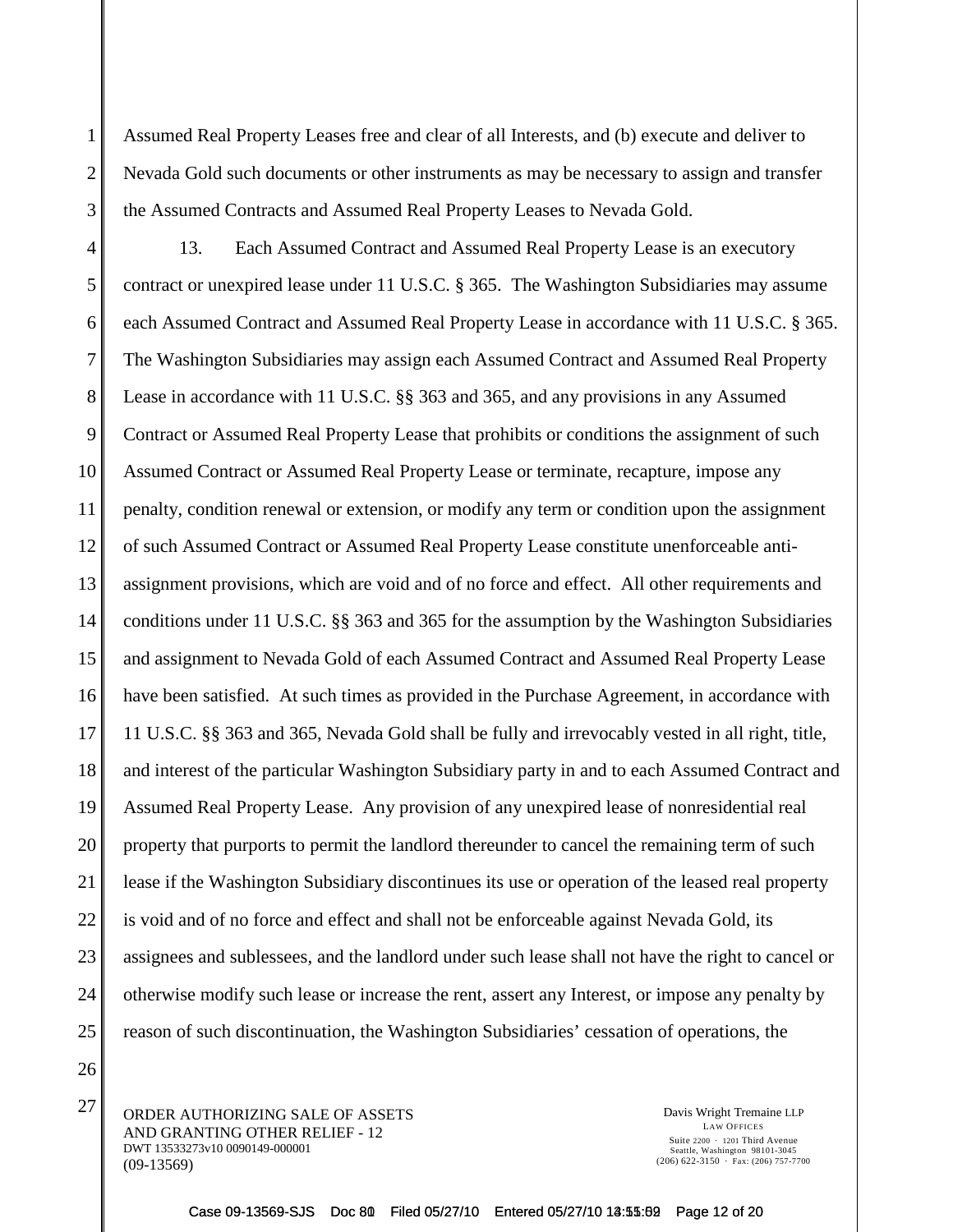Assumed Real Property Leases free and clear of all Interests, and (b) execute and deliver to Nevada Gold such documents or other instruments as may be necessary to assign and transfer the Assumed Contracts and Assumed Real Property Leases to Nevada Gold.

4 5 6 7 8 9 10 11 12 13 14 15 16 17 18 19 20 21 22 23 24 25 13. Each Assumed Contract and Assumed Real Property Lease is an executory contract or unexpired lease under 11 U.S.C. § 365. The Washington Subsidiaries may assume each Assumed Contract and Assumed Real Property Lease in accordance with 11 U.S.C. § 365. The Washington Subsidiaries may assign each Assumed Contract and Assumed Real Property Lease in accordance with 11 U.S.C. §§ 363 and 365, and any provisions in any Assumed Contract or Assumed Real Property Lease that prohibits or conditions the assignment of such Assumed Contract or Assumed Real Property Lease or terminate, recapture, impose any penalty, condition renewal or extension, or modify any term or condition upon the assignment of such Assumed Contract or Assumed Real Property Lease constitute unenforceable antiassignment provisions, which are void and of no force and effect. All other requirements and conditions under 11 U.S.C. §§ 363 and 365 for the assumption by the Washington Subsidiaries and assignment to Nevada Gold of each Assumed Contract and Assumed Real Property Lease have been satisfied. At such times as provided in the Purchase Agreement, in accordance with 11 U.S.C. §§ 363 and 365, Nevada Gold shall be fully and irrevocably vested in all right, title, and interest of the particular Washington Subsidiary party in and to each Assumed Contract and Assumed Real Property Lease. Any provision of any unexpired lease of nonresidential real property that purports to permit the landlord thereunder to cancel the remaining term of such lease if the Washington Subsidiary discontinues its use or operation of the leased real property is void and of no force and effect and shall not be enforceable against Nevada Gold, its assignees and sublessees, and the landlord under such lease shall not have the right to cancel or otherwise modify such lease or increase the rent, assert any Interest, or impose any penalty by reason of such discontinuation, the Washington Subsidiaries' cessation of operations, the

26

1

2

3

 $27$  ORDER AUTHORIZING SALE OF ASSETS Davis Wright Tremaine LLP AND GRANTING OTHER RELIEF - 12 DWT 13533273v10 0090149-000001 (09-13569)

LAW OFFICES Suite  $2200 \cdot 1201$  Third Avenue Seattle, Washington 98101-3045  $(206)$  622-3150  $\cdot$  Fax: (206) 757-7700

Case 09-13569-SJS Doc 80 Filed 05/27/10 Entered 05/27/10 13:55:02 Page 12 of 20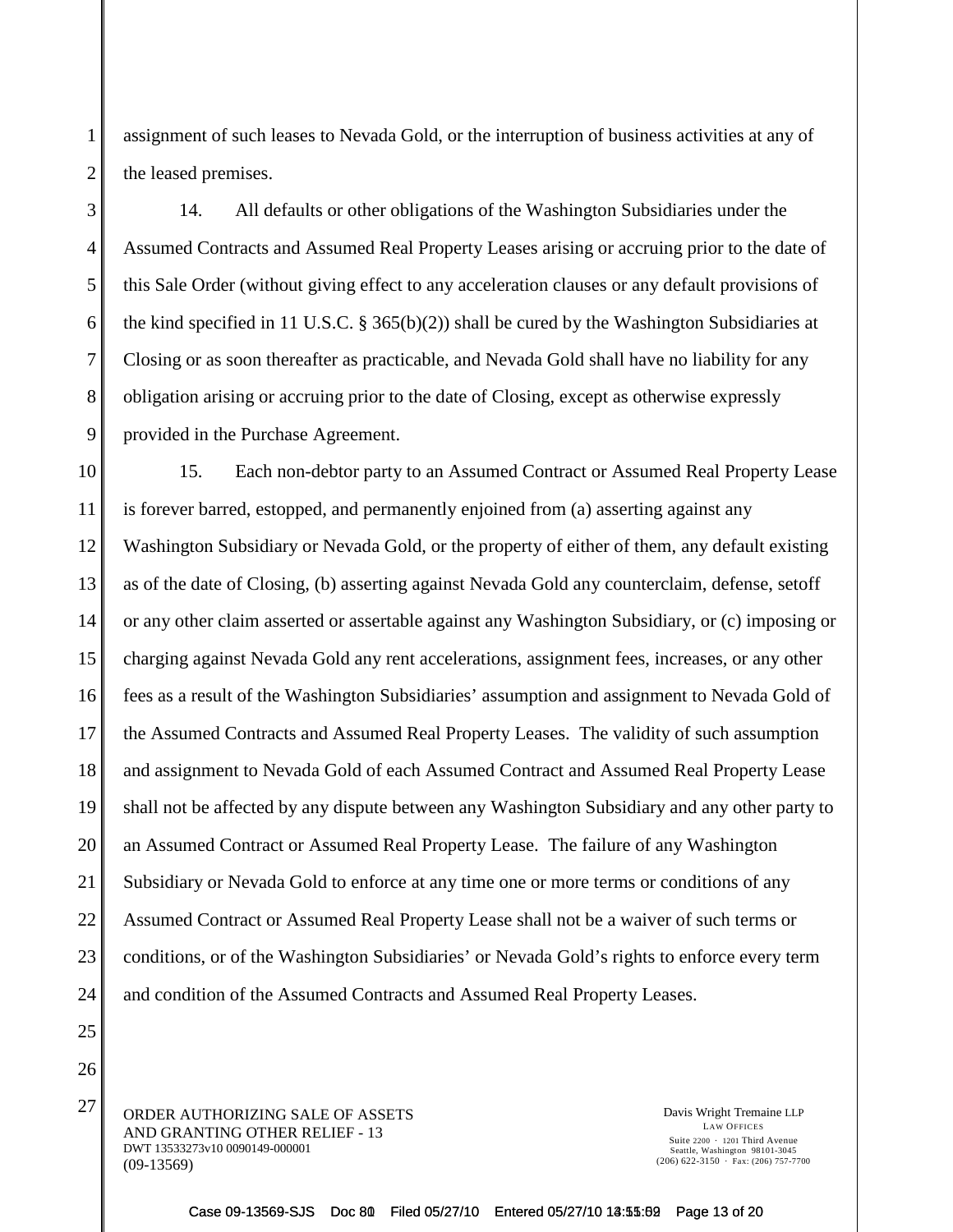assignment of such leases to Nevada Gold, or the interruption of business activities at any of the leased premises.

14. All defaults or other obligations of the Washington Subsidiaries under the Assumed Contracts and Assumed Real Property Leases arising or accruing prior to the date of this Sale Order (without giving effect to any acceleration clauses or any default provisions of the kind specified in 11 U.S.C. § 365(b)(2)) shall be cured by the Washington Subsidiaries at Closing or as soon thereafter as practicable, and Nevada Gold shall have no liability for any obligation arising or accruing prior to the date of Closing, except as otherwise expressly provided in the Purchase Agreement.

10 11 12 13 14 15 16 17 18 19 20 21 22 23 24 15. Each non-debtor party to an Assumed Contract or Assumed Real Property Lease is forever barred, estopped, and permanently enjoined from (a) asserting against any Washington Subsidiary or Nevada Gold, or the property of either of them, any default existing as of the date of Closing, (b) asserting against Nevada Gold any counterclaim, defense, setoff or any other claim asserted or assertable against any Washington Subsidiary, or (c) imposing or charging against Nevada Gold any rent accelerations, assignment fees, increases, or any other fees as a result of the Washington Subsidiaries' assumption and assignment to Nevada Gold of the Assumed Contracts and Assumed Real Property Leases. The validity of such assumption and assignment to Nevada Gold of each Assumed Contract and Assumed Real Property Lease shall not be affected by any dispute between any Washington Subsidiary and any other party to an Assumed Contract or Assumed Real Property Lease. The failure of any Washington Subsidiary or Nevada Gold to enforce at any time one or more terms or conditions of any Assumed Contract or Assumed Real Property Lease shall not be a waiver of such terms or conditions, or of the Washington Subsidiaries' or Nevada Gold's rights to enforce every term and condition of the Assumed Contracts and Assumed Real Property Leases.

 $27$  ORDER AUTHORIZING SALE OF ASSETS Davis Wright Tremaine LLP AND GRANTING OTHER RELIEF - 13 DWT 13533273v10 0090149-000001 (09-13569)

1

2

3

4

5

6

7

8

9

25

26

LAW OFFICES Suite  $2200 \cdot 1201$  Third Avenue Seattle, Washington 98101-3045  $(206)$  622-3150  $\cdot$  Fax: (206) 757-7700

Case 09-13569-SJS Doc 80 Filed 05/27/10 Entered 05/27/10 13:55:62 Page 13 of 20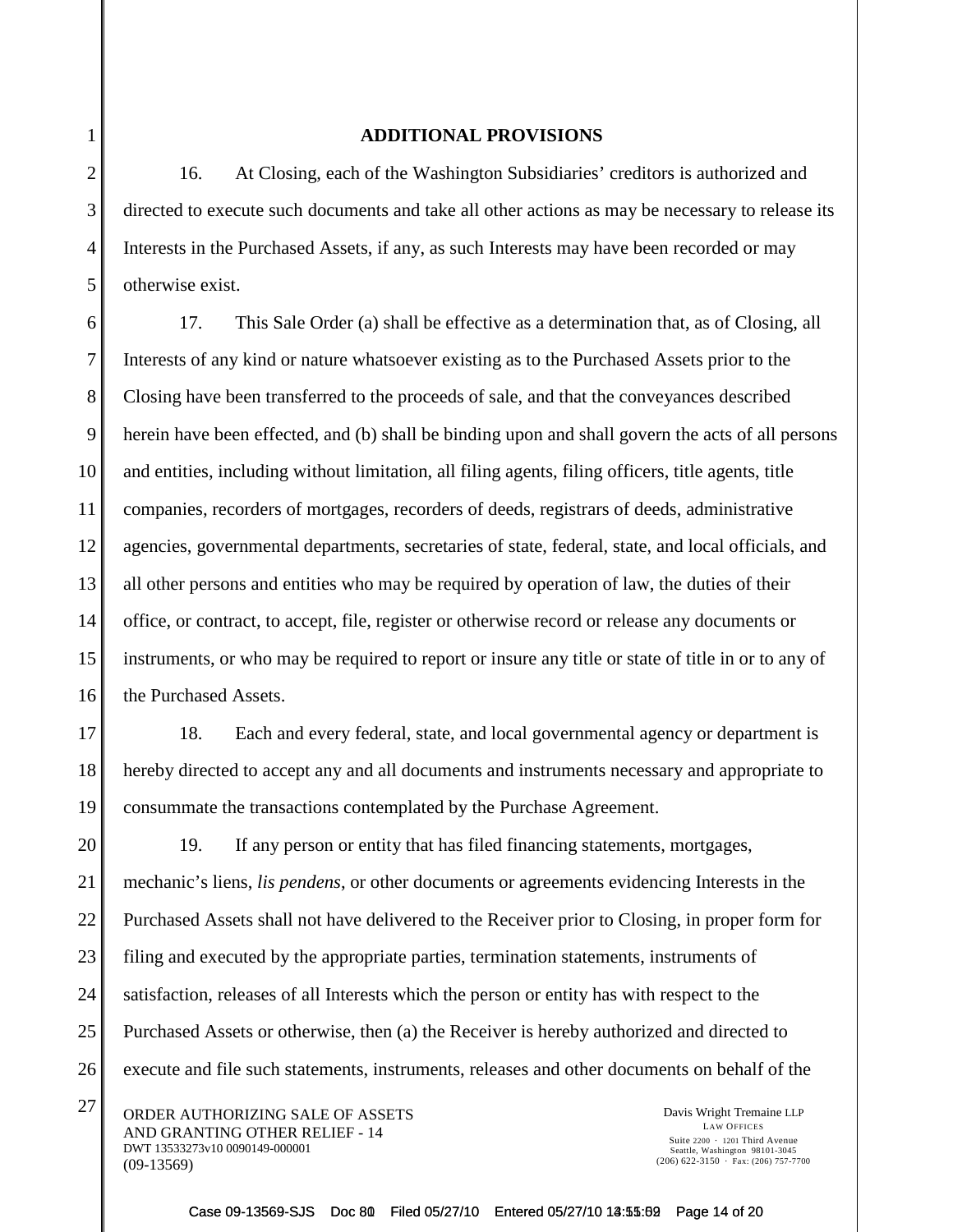## **ADDITIONAL PROVISIONS**

16. At Closing, each of the Washington Subsidiaries' creditors is authorized and directed to execute such documents and take all other actions as may be necessary to release its Interests in the Purchased Assets, if any, as such Interests may have been recorded or may otherwise exist.

17. This Sale Order (a) shall be effective as a determination that, as of Closing, all Interests of any kind or nature whatsoever existing as to the Purchased Assets prior to the Closing have been transferred to the proceeds of sale, and that the conveyances described herein have been effected, and (b) shall be binding upon and shall govern the acts of all persons and entities, including without limitation, all filing agents, filing officers, title agents, title companies, recorders of mortgages, recorders of deeds, registrars of deeds, administrative agencies, governmental departments, secretaries of state, federal, state, and local officials, and all other persons and entities who may be required by operation of law, the duties of their office, or contract, to accept, file, register or otherwise record or release any documents or instruments, or who may be required to report or insure any title or state of title in or to any of the Purchased Assets.

18. Each and every federal, state, and local governmental agency or department is hereby directed to accept any and all documents and instruments necessary and appropriate to consummate the transactions contemplated by the Purchase Agreement.

19. If any person or entity that has filed financing statements, mortgages, mechanic's liens, *lis pendens*, or other documents or agreements evidencing Interests in the Purchased Assets shall not have delivered to the Receiver prior to Closing, in proper form for filing and executed by the appropriate parties, termination statements, instruments of satisfaction, releases of all Interests which the person or entity has with respect to the Purchased Assets or otherwise, then (a) the Receiver is hereby authorized and directed to execute and file such statements, instruments, releases and other documents on behalf of the

 $27$  ORDER AUTHORIZING SALE OF ASSETS Davis Wright Tremaine LLP AND GRANTING OTHER RELIEF - 14 DWT 13533273v10 0090149-000001 (09-13569)

LAW OFFICES Suite  $2200 \cdot 1201$  Third Avenue Seattle, Washington 98101-3045  $(206)$  622-3150  $\cdot$  Fax: (206) 757-7700

Case 09-13569-SJS Doc 80 Filed 05/27/10 Entered 05/27/10 13:55:62 Page 14 of 20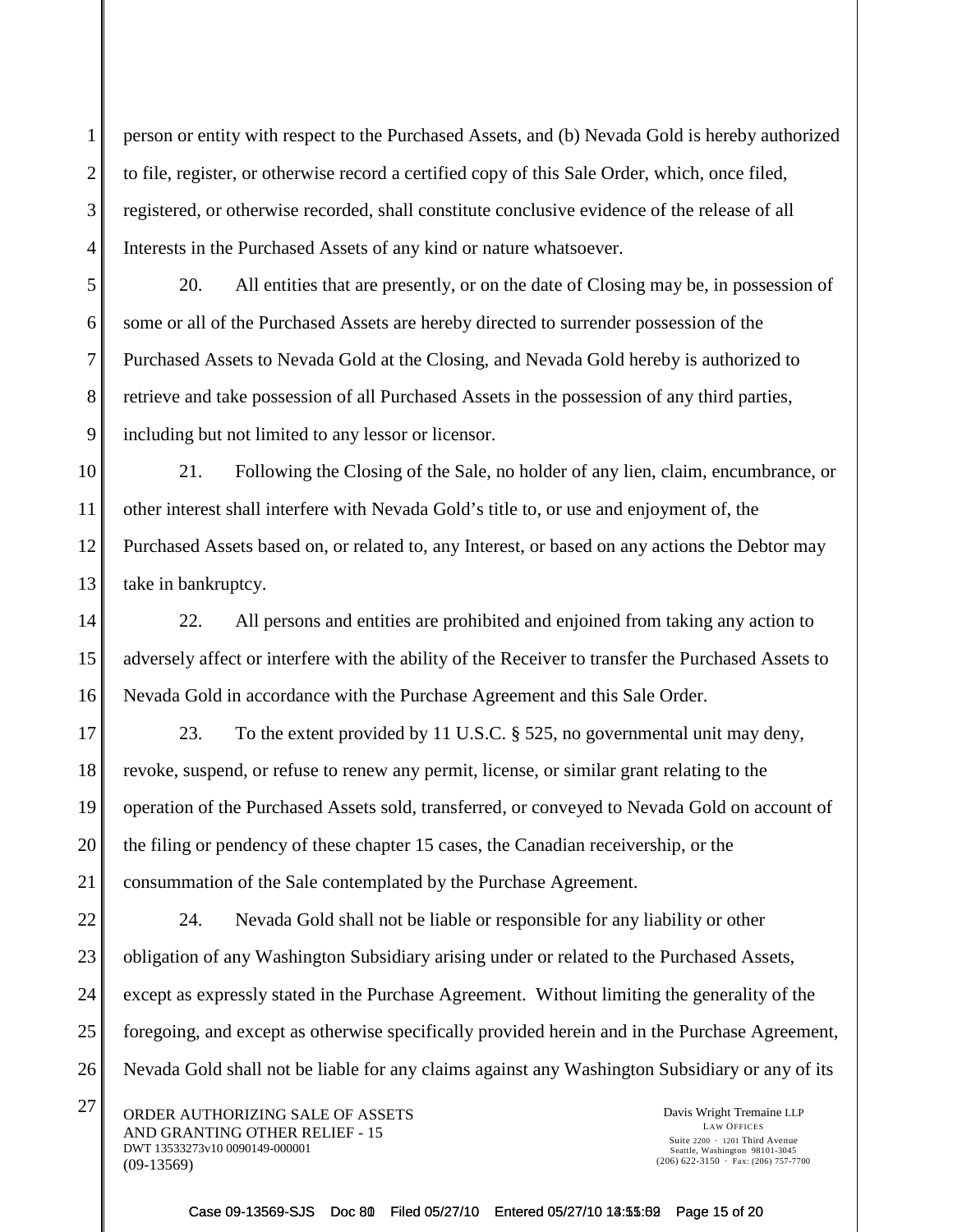person or entity with respect to the Purchased Assets, and (b) Nevada Gold is hereby authorized to file, register, or otherwise record a certified copy of this Sale Order, which, once filed, registered, or otherwise recorded, shall constitute conclusive evidence of the release of all Interests in the Purchased Assets of any kind or nature whatsoever.

20. All entities that are presently, or on the date of Closing may be, in possession of some or all of the Purchased Assets are hereby directed to surrender possession of the Purchased Assets to Nevada Gold at the Closing, and Nevada Gold hereby is authorized to retrieve and take possession of all Purchased Assets in the possession of any third parties, including but not limited to any lessor or licensor.

13 21. Following the Closing of the Sale, no holder of any lien, claim, encumbrance, or other interest shall interfere with Nevada Gold's title to, or use and enjoyment of, the Purchased Assets based on, or related to, any Interest, or based on any actions the Debtor may take in bankruptcy.

22. All persons and entities are prohibited and enjoined from taking any action to adversely affect or interfere with the ability of the Receiver to transfer the Purchased Assets to Nevada Gold in accordance with the Purchase Agreement and this Sale Order.

17 18 19 20 21 23. To the extent provided by 11 U.S.C. § 525, no governmental unit may deny, revoke, suspend, or refuse to renew any permit, license, or similar grant relating to the operation of the Purchased Assets sold, transferred, or conveyed to Nevada Gold on account of the filing or pendency of these chapter 15 cases, the Canadian receivership, or the consummation of the Sale contemplated by the Purchase Agreement.

22 23 24 25 26 24. Nevada Gold shall not be liable or responsible for any liability or other obligation of any Washington Subsidiary arising under or related to the Purchased Assets, except as expressly stated in the Purchase Agreement. Without limiting the generality of the foregoing, and except as otherwise specifically provided herein and in the Purchase Agreement, Nevada Gold shall not be liable for any claims against any Washington Subsidiary or any of its

 $27$  ORDER AUTHORIZING SALE OF ASSETS Davis Wright Tremaine LLP AND GRANTING OTHER RELIEF - 15 DWT 13533273v10 0090149-000001 (09-13569)

1

2

3

4

5

6

7

8

9

10

11

12

14

15

16

LAW OFFICES Suite  $2200 \cdot 1201$  Third Avenue Seattle, Washington 98101-3045  $(206)$  622-3150  $\cdot$  Fax: (206) 757-7700

Case 09-13569-SJS Doc 80 Filed 05/27/10 Entered 05/27/10 13:55:02 Page 15 of 20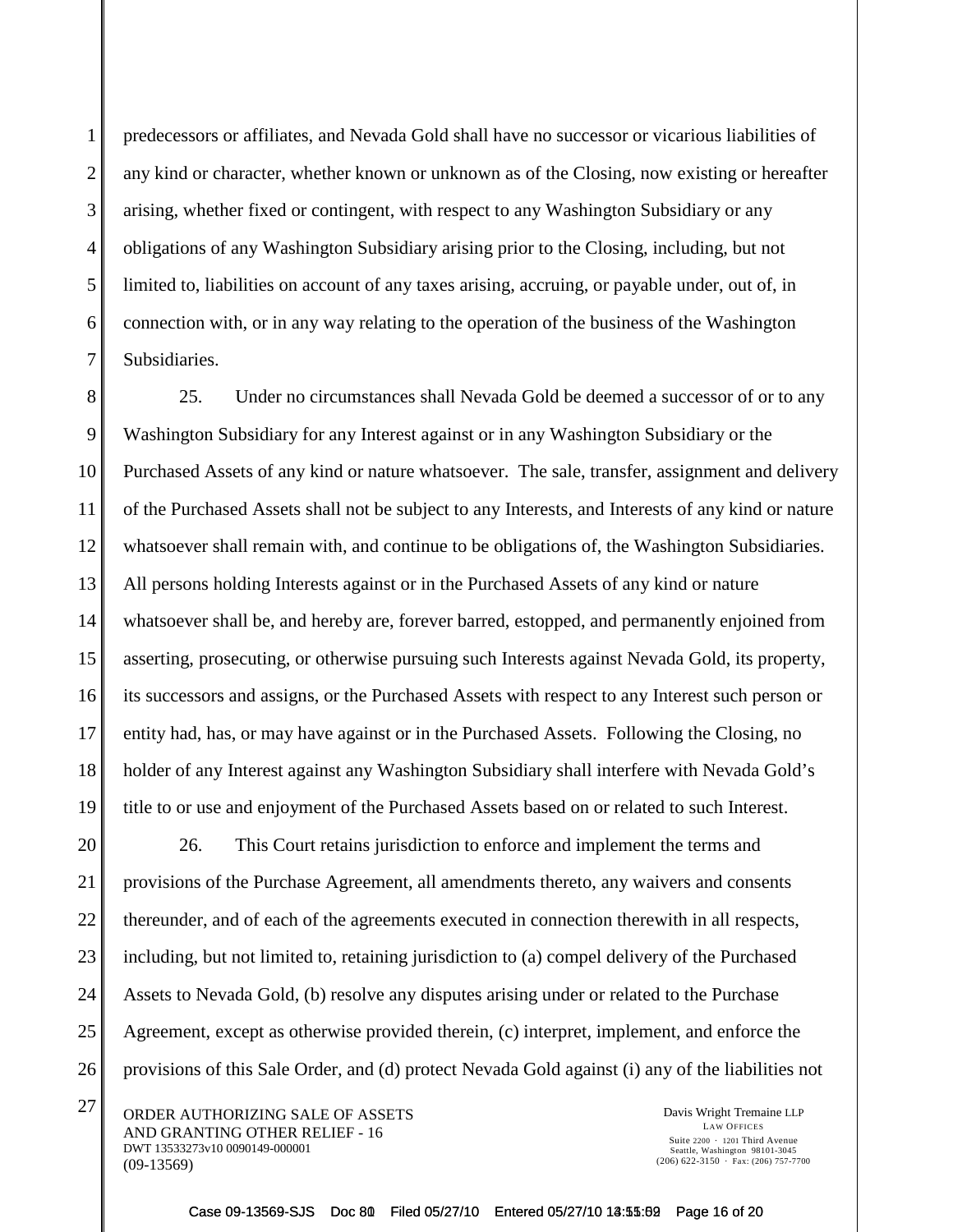1

2

3

4

predecessors or affiliates, and Nevada Gold shall have no successor or vicarious liabilities of any kind or character, whether known or unknown as of the Closing, now existing or hereafter arising, whether fixed or contingent, with respect to any Washington Subsidiary or any obligations of any Washington Subsidiary arising prior to the Closing, including, but not limited to, liabilities on account of any taxes arising, accruing, or payable under, out of, in connection with, or in any way relating to the operation of the business of the Washington Subsidiaries.

25. Under no circumstances shall Nevada Gold be deemed a successor of or to any Washington Subsidiary for any Interest against or in any Washington Subsidiary or the Purchased Assets of any kind or nature whatsoever. The sale, transfer, assignment and delivery of the Purchased Assets shall not be subject to any Interests, and Interests of any kind or nature whatsoever shall remain with, and continue to be obligations of, the Washington Subsidiaries. All persons holding Interests against or in the Purchased Assets of any kind or nature whatsoever shall be, and hereby are, forever barred, estopped, and permanently enjoined from asserting, prosecuting, or otherwise pursuing such Interests against Nevada Gold, its property, its successors and assigns, or the Purchased Assets with respect to any Interest such person or entity had, has, or may have against or in the Purchased Assets. Following the Closing, no holder of any Interest against any Washington Subsidiary shall interfere with Nevada Gold's title to or use and enjoyment of the Purchased Assets based on or related to such Interest.

26. This Court retains jurisdiction to enforce and implement the terms and provisions of the Purchase Agreement, all amendments thereto, any waivers and consents thereunder, and of each of the agreements executed in connection therewith in all respects, including, but not limited to, retaining jurisdiction to (a) compel delivery of the Purchased Assets to Nevada Gold, (b) resolve any disputes arising under or related to the Purchase Agreement, except as otherwise provided therein, (c) interpret, implement, and enforce the provisions of this Sale Order, and (d) protect Nevada Gold against (i) any of the liabilities not

 $27$  ORDER AUTHORIZING SALE OF ASSETS Davis Wright Tremaine LLP AND GRANTING OTHER RELIEF - 16 DWT 13533273v10 0090149-000001 (09-13569)

LAW OFFICES Suite  $2200 \cdot 1201$  Third Avenue Seattle, Washington 98101-3045  $(206)$  622-3150  $\cdot$  Fax: (206) 757-7700

Case 09-13569-SJS Doc 80 Filed 05/27/10 Entered 05/27/10 13:55:02 Page 16 of 20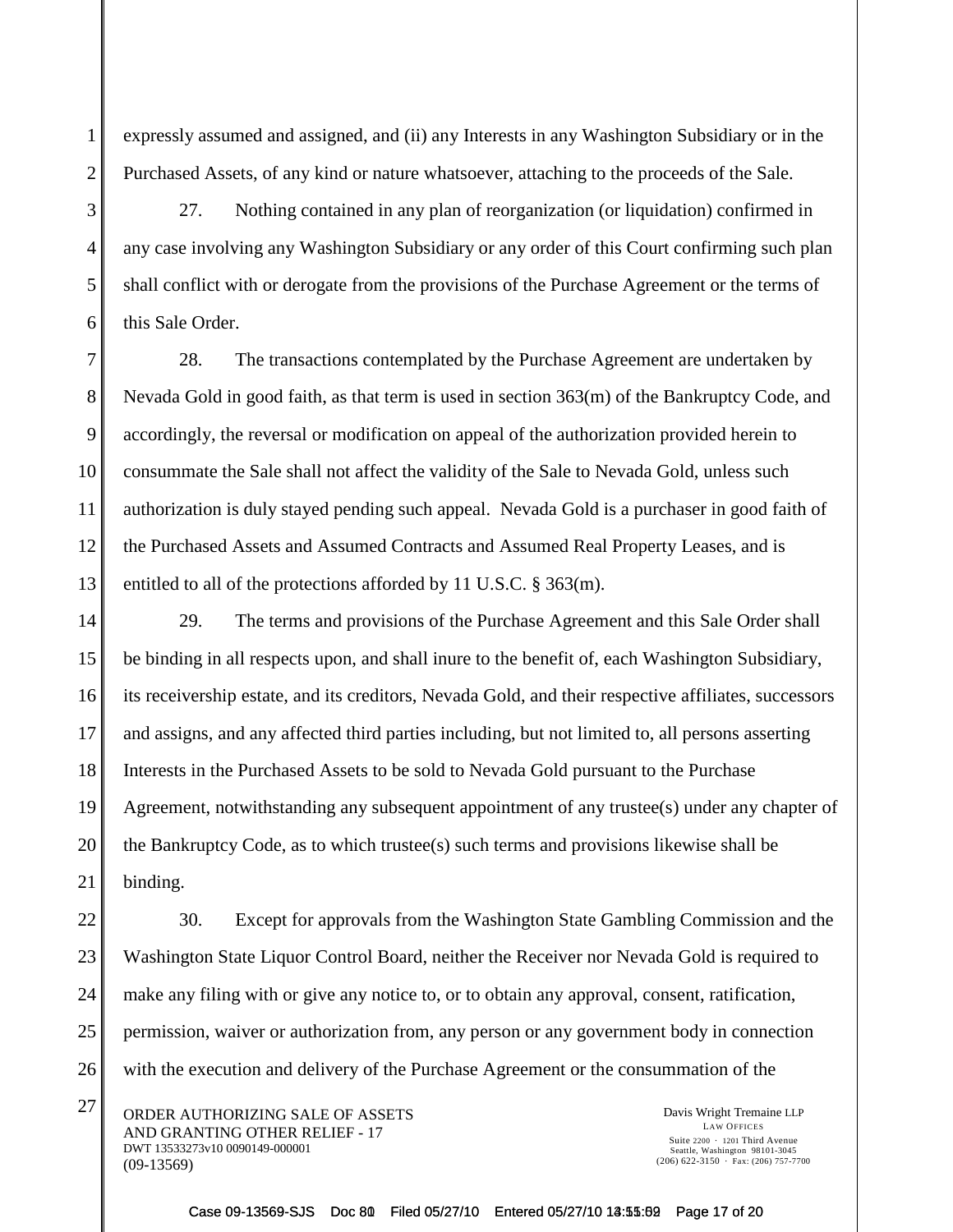2

expressly assumed and assigned, and (ii) any Interests in any Washington Subsidiary or in the Purchased Assets, of any kind or nature whatsoever, attaching to the proceeds of the Sale.

27. Nothing contained in any plan of reorganization (or liquidation) confirmed in any case involving any Washington Subsidiary or any order of this Court confirming such plan shall conflict with or derogate from the provisions of the Purchase Agreement or the terms of this Sale Order.

28. The transactions contemplated by the Purchase Agreement are undertaken by Nevada Gold in good faith, as that term is used in section 363(m) of the Bankruptcy Code, and accordingly, the reversal or modification on appeal of the authorization provided herein to consummate the Sale shall not affect the validity of the Sale to Nevada Gold, unless such authorization is duly stayed pending such appeal. Nevada Gold is a purchaser in good faith of the Purchased Assets and Assumed Contracts and Assumed Real Property Leases, and is entitled to all of the protections afforded by 11 U.S.C. § 363(m).

29. The terms and provisions of the Purchase Agreement and this Sale Order shall be binding in all respects upon, and shall inure to the benefit of, each Washington Subsidiary, its receivership estate, and its creditors, Nevada Gold, and their respective affiliates, successors and assigns, and any affected third parties including, but not limited to, all persons asserting Interests in the Purchased Assets to be sold to Nevada Gold pursuant to the Purchase Agreement, notwithstanding any subsequent appointment of any trustee(s) under any chapter of the Bankruptcy Code, as to which trustee(s) such terms and provisions likewise shall be binding.

30. Except for approvals from the Washington State Gambling Commission and the Washington State Liquor Control Board, neither the Receiver nor Nevada Gold is required to make any filing with or give any notice to, or to obtain any approval, consent, ratification, permission, waiver or authorization from, any person or any government body in connection with the execution and delivery of the Purchase Agreement or the consummation of the

 $27$  ORDER AUTHORIZING SALE OF ASSETS Davis Wright Tremaine LLP AND GRANTING OTHER RELIEF - 17 DWT 13533273v10 0090149-000001 (09-13569)

LAW OFFICES Suite  $2200 \cdot 1201$  Third Avenue Seattle, Washington 98101-3045  $(206)$  622-3150  $\cdot$  Fax: (206) 757-7700

Case 09-13569-SJS Doc 80 Filed 05/27/10 Entered 05/27/10 13:55:62 Page 17 of 20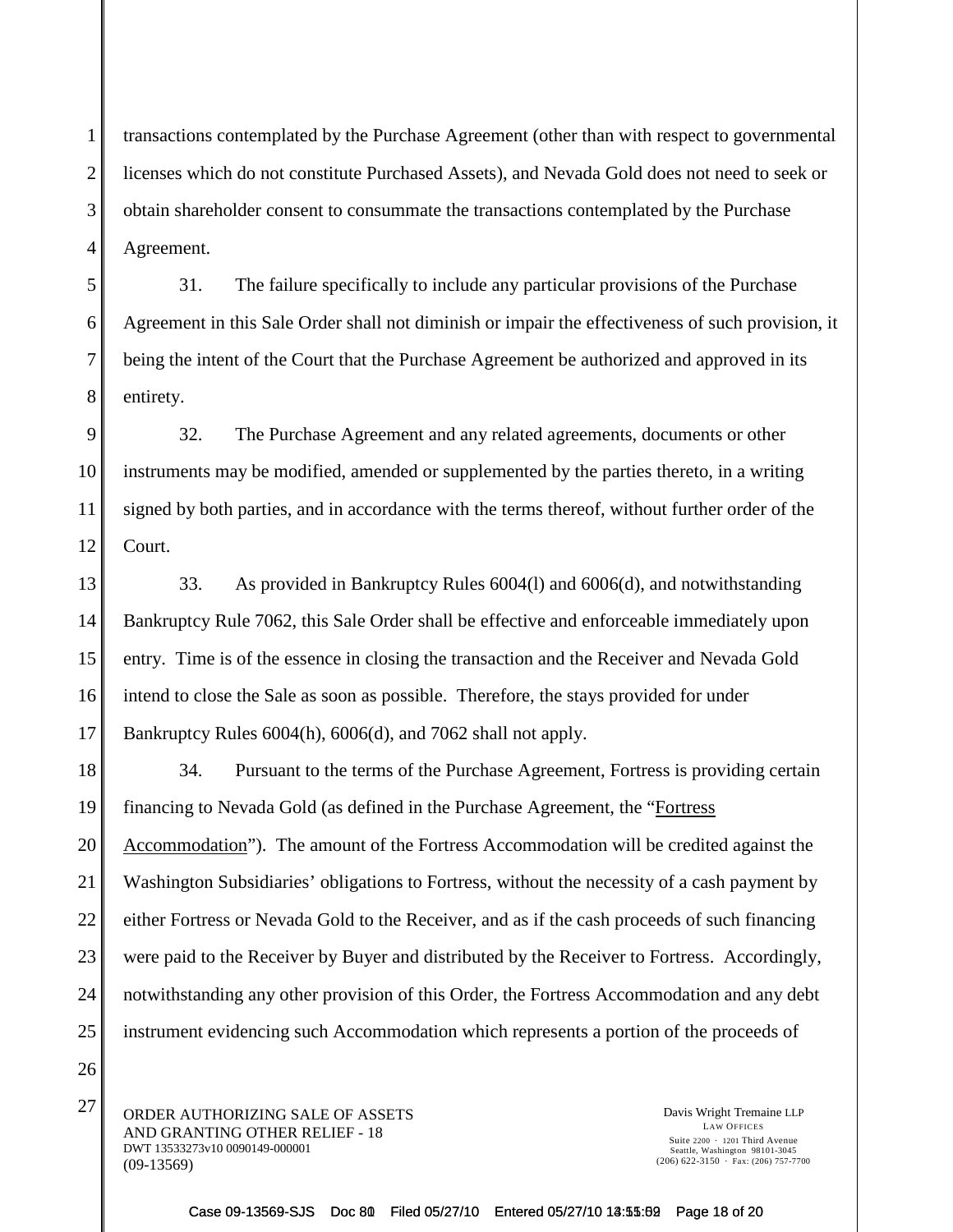transactions contemplated by the Purchase Agreement (other than with respect to governmental licenses which do not constitute Purchased Assets), and Nevada Gold does not need to seek or obtain shareholder consent to consummate the transactions contemplated by the Purchase Agreement.

31. The failure specifically to include any particular provisions of the Purchase Agreement in this Sale Order shall not diminish or impair the effectiveness of such provision, it being the intent of the Court that the Purchase Agreement be authorized and approved in its entirety.

9 10 11 12 32. The Purchase Agreement and any related agreements, documents or other instruments may be modified, amended or supplemented by the parties thereto, in a writing signed by both parties, and in accordance with the terms thereof, without further order of the Court.

13 14 15 16 17 33. As provided in Bankruptcy Rules 6004(l) and 6006(d), and notwithstanding Bankruptcy Rule 7062, this Sale Order shall be effective and enforceable immediately upon entry. Time is of the essence in closing the transaction and the Receiver and Nevada Gold intend to close the Sale as soon as possible. Therefore, the stays provided for under Bankruptcy Rules 6004(h), 6006(d), and 7062 shall not apply.

18 19 20 21 22 23 24 25 34. Pursuant to the terms of the Purchase Agreement, Fortress is providing certain financing to Nevada Gold (as defined in the Purchase Agreement, the "Fortress Accommodation"). The amount of the Fortress Accommodation will be credited against the Washington Subsidiaries' obligations to Fortress, without the necessity of a cash payment by either Fortress or Nevada Gold to the Receiver, and as if the cash proceeds of such financing were paid to the Receiver by Buyer and distributed by the Receiver to Fortress. Accordingly, notwithstanding any other provision of this Order, the Fortress Accommodation and any debt instrument evidencing such Accommodation which represents a portion of the proceeds of

 $27$  ORDER AUTHORIZING SALE OF ASSETS Davis Wright Tremaine LLP AND GRANTING OTHER RELIEF - 18 DWT 13533273v10 0090149-000001 (09-13569)

1

2

3

4

5

6

7

8

26

LAW OFFICES Suite  $2200 \cdot 1201$  Third Avenue Seattle, Washington 98101-3045  $(206)$  622-3150  $\cdot$  Fax: (206) 757-7700

Case 09-13569-SJS Doc 80 Filed 05/27/10 Entered 05/27/10 13:55:62 Page 18 of 20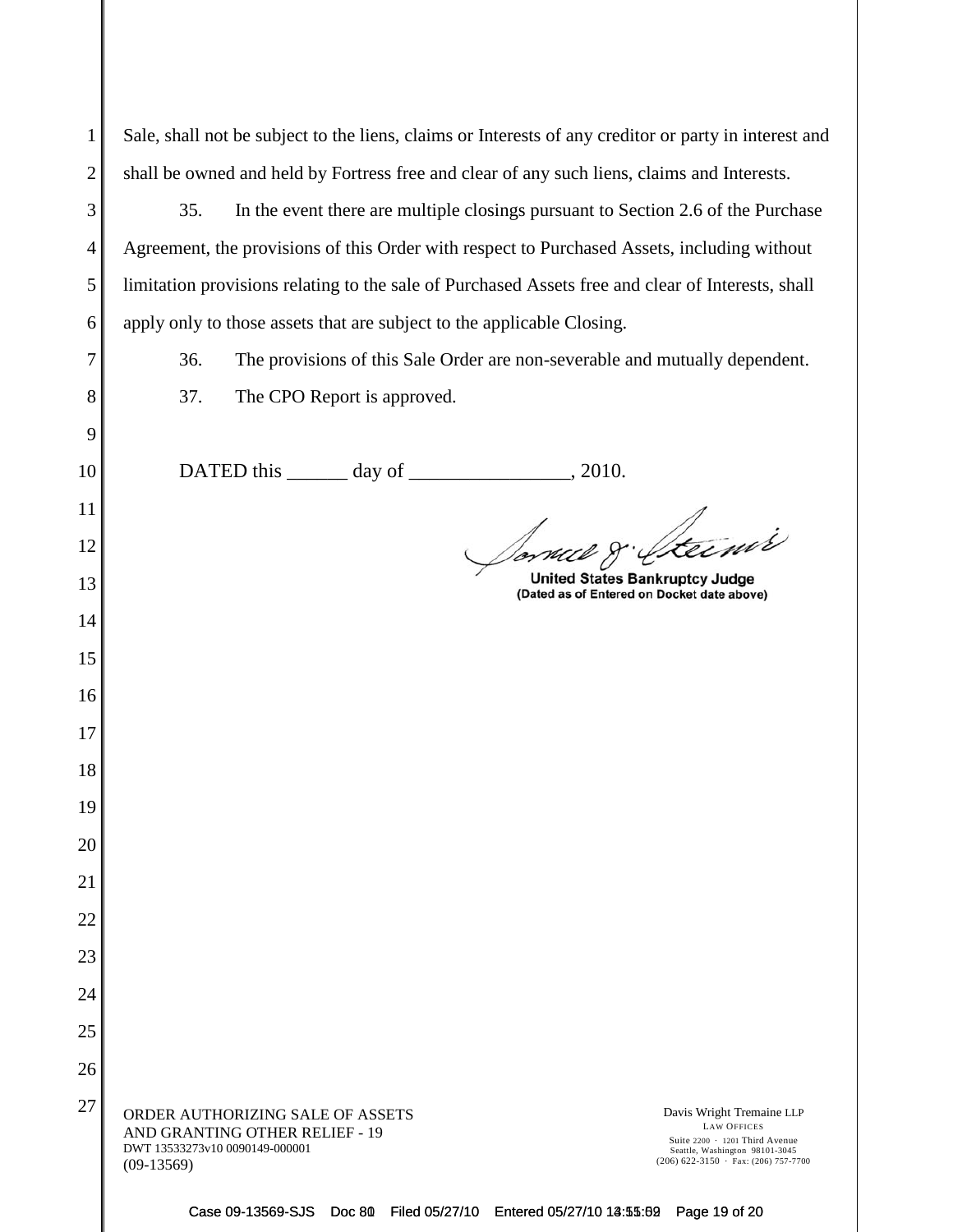| $\mathbf{1}$   | Sale, shall not be subject to the liens, claims or Interests of any creditor or party in interest and                                                                                                                                                                                 |  |
|----------------|---------------------------------------------------------------------------------------------------------------------------------------------------------------------------------------------------------------------------------------------------------------------------------------|--|
| $\overline{2}$ | shall be owned and held by Fortress free and clear of any such liens, claims and Interests.                                                                                                                                                                                           |  |
| 3              | 35.<br>In the event there are multiple closings pursuant to Section 2.6 of the Purchase                                                                                                                                                                                               |  |
| $\overline{4}$ | Agreement, the provisions of this Order with respect to Purchased Assets, including without                                                                                                                                                                                           |  |
| 5              | limitation provisions relating to the sale of Purchased Assets free and clear of Interests, shall                                                                                                                                                                                     |  |
| 6              | apply only to those assets that are subject to the applicable Closing.                                                                                                                                                                                                                |  |
| 7              | 36.<br>The provisions of this Sale Order are non-severable and mutually dependent.                                                                                                                                                                                                    |  |
| 8              | 37.<br>The CPO Report is approved.                                                                                                                                                                                                                                                    |  |
| 9              |                                                                                                                                                                                                                                                                                       |  |
| 10             | , 2010.                                                                                                                                                                                                                                                                               |  |
| 11             |                                                                                                                                                                                                                                                                                       |  |
| 12             | Sorvel 8. Steinis                                                                                                                                                                                                                                                                     |  |
| 13             | <b>United States Bankruptcy Judge</b><br>(Dated as of Entered on Docket date above)                                                                                                                                                                                                   |  |
| 14             |                                                                                                                                                                                                                                                                                       |  |
| 15             |                                                                                                                                                                                                                                                                                       |  |
| 16             |                                                                                                                                                                                                                                                                                       |  |
| 17             |                                                                                                                                                                                                                                                                                       |  |
| 18             |                                                                                                                                                                                                                                                                                       |  |
| 19             |                                                                                                                                                                                                                                                                                       |  |
| 20             |                                                                                                                                                                                                                                                                                       |  |
| 21             |                                                                                                                                                                                                                                                                                       |  |
| 22             |                                                                                                                                                                                                                                                                                       |  |
| 23             |                                                                                                                                                                                                                                                                                       |  |
| 24             |                                                                                                                                                                                                                                                                                       |  |
| 25             |                                                                                                                                                                                                                                                                                       |  |
| 26             |                                                                                                                                                                                                                                                                                       |  |
| 27             | ORDER AUTHORIZING SALE OF ASSETS<br>Davis Wright Tremaine LLP<br><b>LAW OFFICES</b><br>AND GRANTING OTHER RELIEF - 19<br>Suite 2200 · 1201 Third Avenue<br>DWT 13533273v10 0090149-000001<br>Seattle, Washington 98101-3045<br>$(206)$ 622-3150 · Fax: (206) 757-7700<br>$(09-13569)$ |  |

Case 09-13569-SJS Doc 80 Filed 05/27/10 Entered 05/27/10 13:55:69 Page 19 of 20